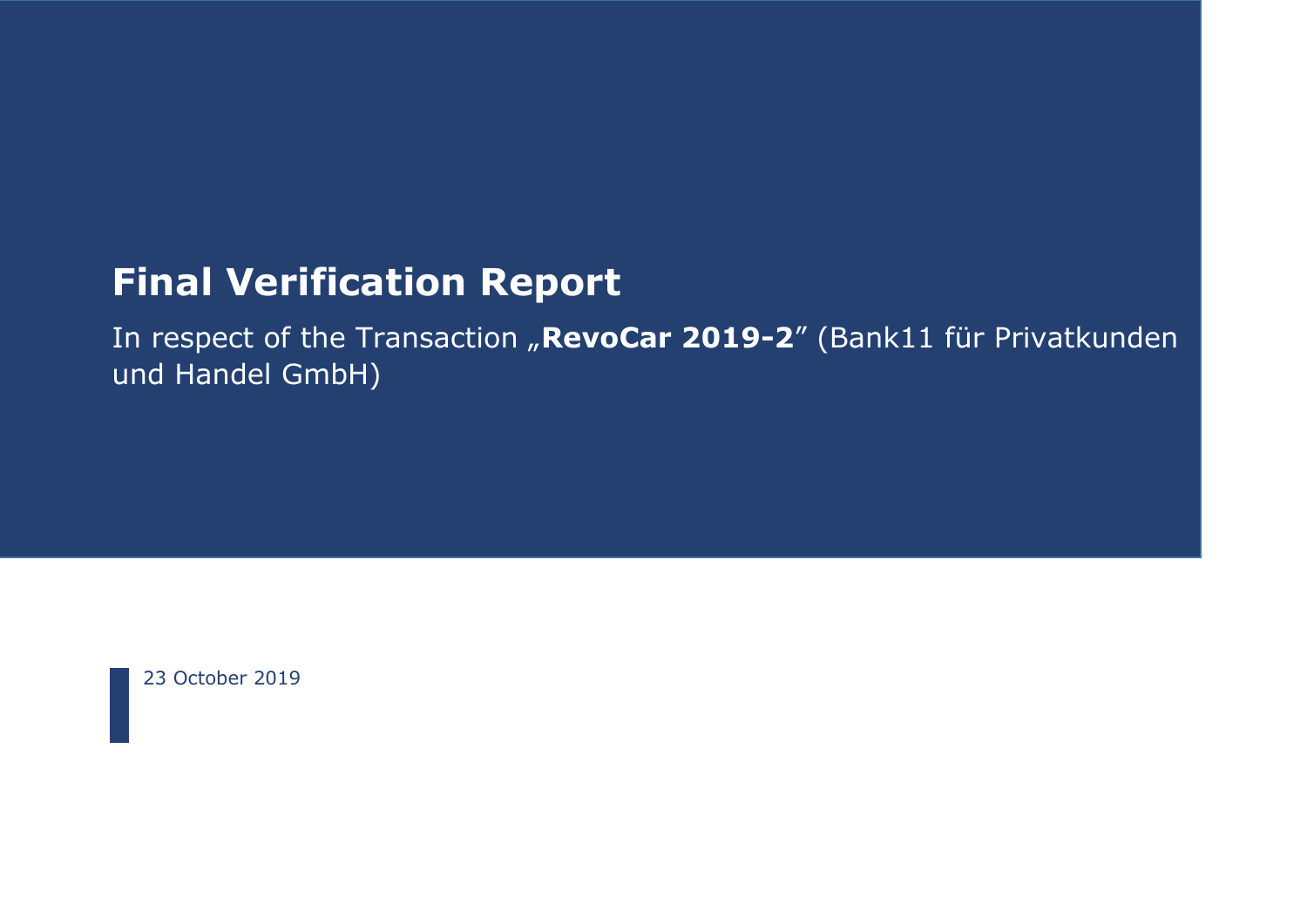# **Final Verification Report**

In respect of the Transaction "RevoCar 2019-2" (Bank11 für Privatkunden und Handel GmbH)

23 October 2019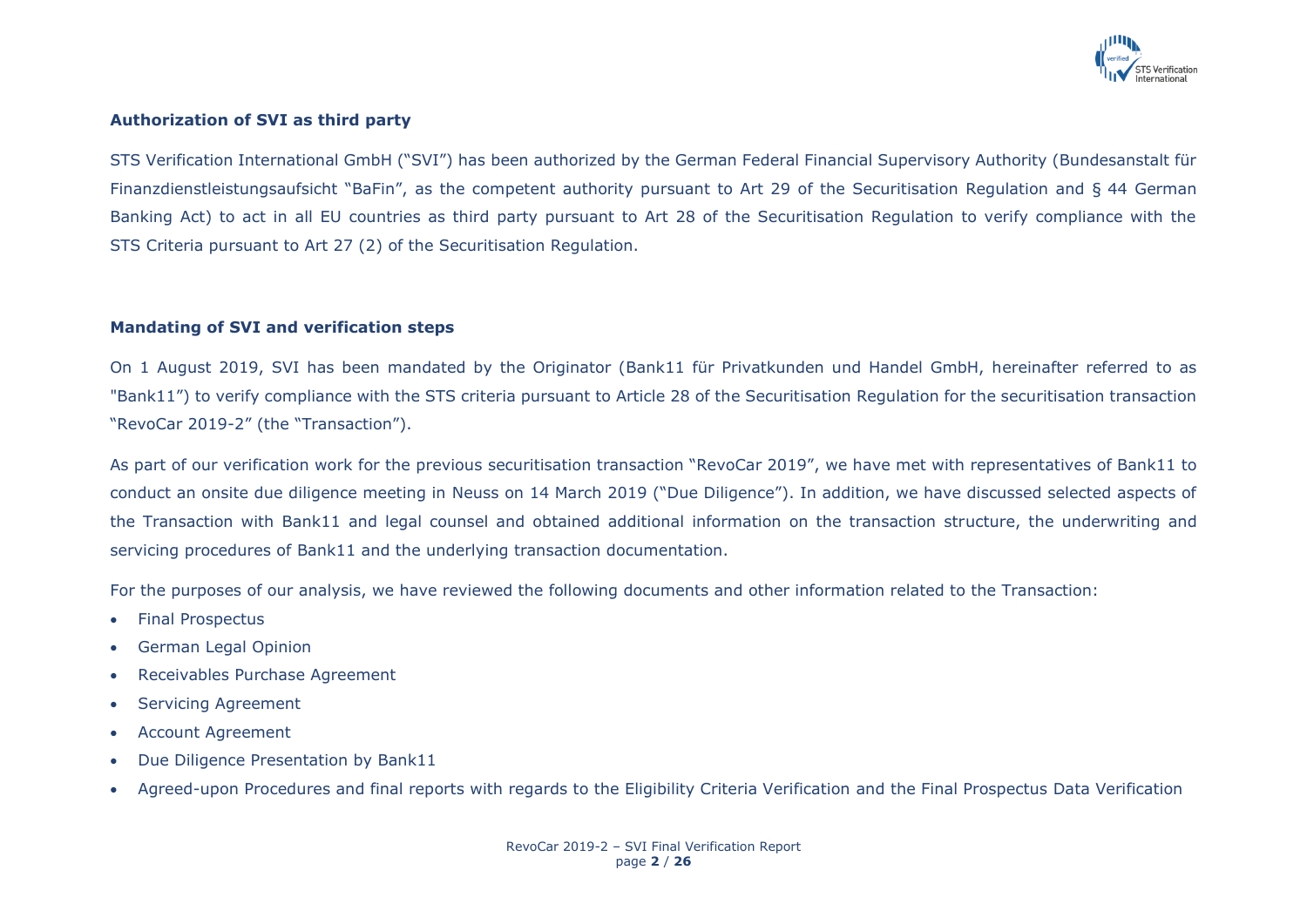

### **Authorization of SVI as third party**

STS Verification International GmbH ("SVI") has been authorized by the German Federal Financial Supervisory Authority (Bundesanstalt für Finanzdienstleistungsaufsicht "BaFin", as the competent authority pursuant to Art 29 of the Securitisation Regulation and § 44 German Banking Act) to act in all EU countries as third party pursuant to Art 28 of the Securitisation Regulation to verify compliance with the STS Criteria pursuant to Art 27 (2) of the Securitisation Regulation.

#### **Mandating of SVI and verification steps**

On 1 August 2019, SVI has been mandated by the Originator (Bank11 für Privatkunden und Handel GmbH, hereinafter referred to as "Bank11") to verify compliance with the STS criteria pursuant to Article 28 of the Securitisation Regulation for the securitisation transaction "RevoCar 2019-2" (the "Transaction").

As part of our verification work for the previous securitisation transaction "RevoCar 2019", we have met with representatives of Bank11 to conduct an onsite due diligence meeting in Neuss on 14 March 2019 ("Due Diligence"). In addition, we have discussed selected aspects of the Transaction with Bank11 and legal counsel and obtained additional information on the transaction structure, the underwriting and servicing procedures of Bank11 and the underlying transaction documentation.

For the purposes of our analysis, we have reviewed the following documents and other information related to the Transaction:

- Final Prospectus
- German Legal Opinion
- Receivables Purchase Agreement
- Servicing Agreement
- Account Agreement
- Due Diligence Presentation by Bank11
- Agreed-upon Procedures and final reports with regards to the Eligibility Criteria Verification and the Final Prospectus Data Verification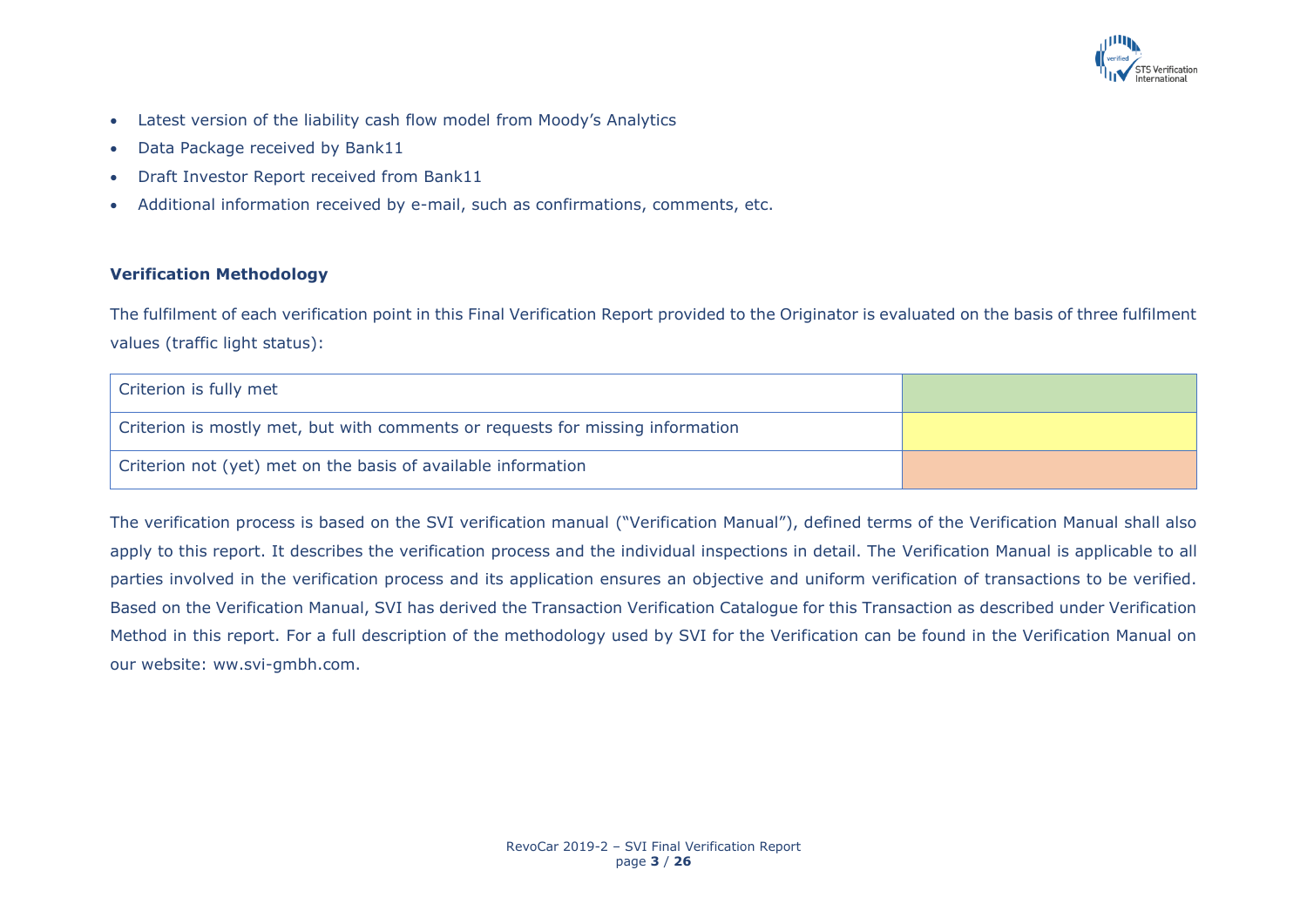

- Latest version of the liability cash flow model from Moody's Analytics
- Data Package received by Bank11
- Draft Investor Report received from Bank11
- Additional information received by e-mail, such as confirmations, comments, etc.

## **Verification Methodology**

The fulfilment of each verification point in this Final Verification Report provided to the Originator is evaluated on the basis of three fulfilment values (traffic light status):

| Criterion is fully met                                                         |  |
|--------------------------------------------------------------------------------|--|
| Criterion is mostly met, but with comments or requests for missing information |  |
| Criterion not (yet) met on the basis of available information                  |  |

The verification process is based on the SVI verification manual ("Verification Manual"), defined terms of the Verification Manual shall also apply to this report. It describes the verification process and the individual inspections in detail. The Verification Manual is applicable to all parties involved in the verification process and its application ensures an objective and uniform verification of transactions to be verified. Based on the Verification Manual, SVI has derived the Transaction Verification Catalogue for this Transaction as described under Verification Method in this report. For a full description of the methodology used by SVI for the Verification can be found in the Verification Manual on our website: ww.svi-gmbh.com.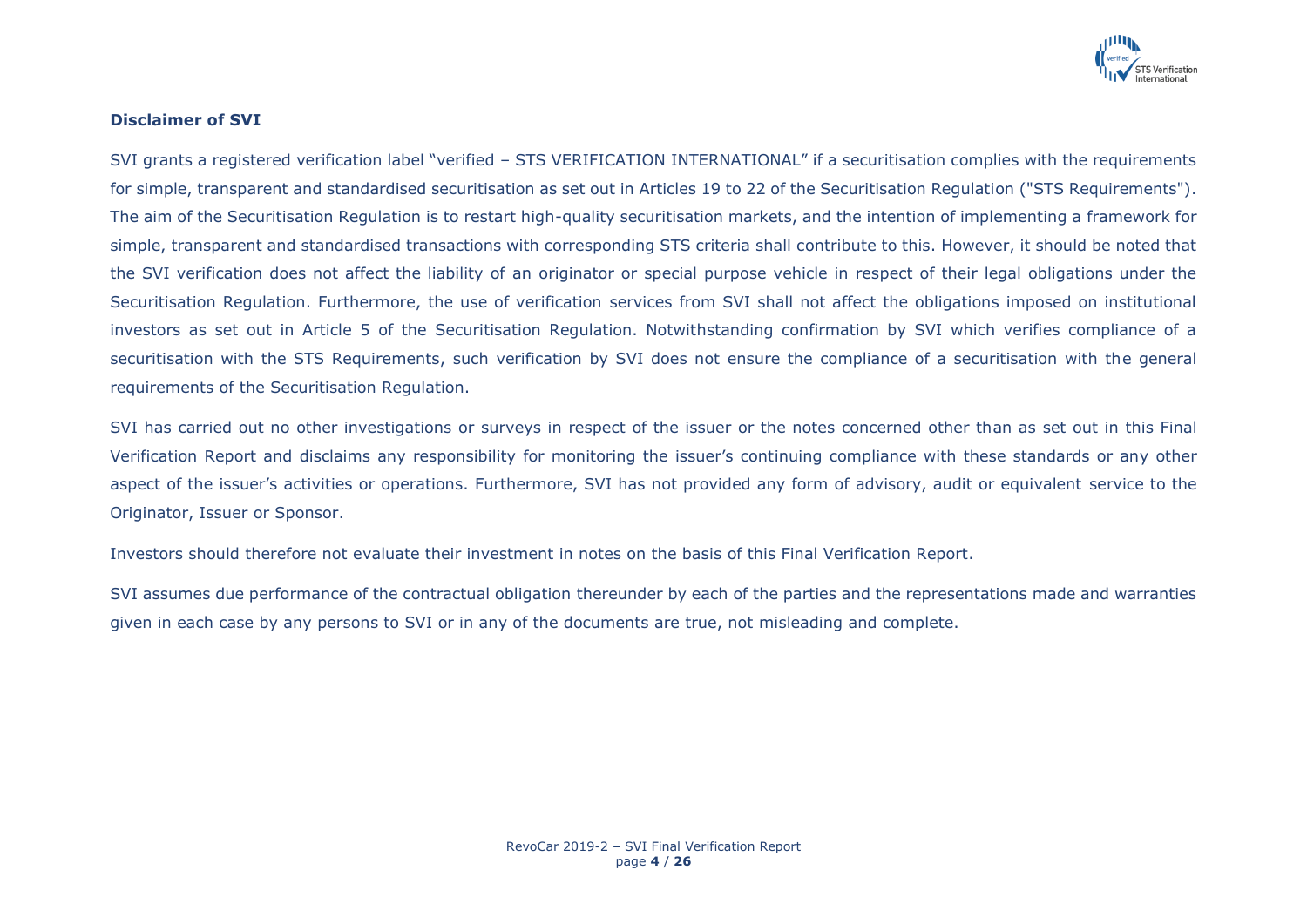

## **Disclaimer of SVI**

SVI grants a registered verification label "verified – STS VERIFICATION INTERNATIONAL" if a securitisation complies with the requirements for simple, transparent and standardised securitisation as set out in Articles 19 to 22 of the Securitisation Regulation ("STS Requirements"). The aim of the Securitisation Regulation is to restart high-quality securitisation markets, and the intention of implementing a framework for simple, transparent and standardised transactions with corresponding STS criteria shall contribute to this. However, it should be noted that the SVI verification does not affect the liability of an originator or special purpose vehicle in respect of their legal obligations under the Securitisation Regulation. Furthermore, the use of verification services from SVI shall not affect the obligations imposed on institutional investors as set out in Article 5 of the Securitisation Regulation. Notwithstanding confirmation by SVI which verifies compliance of a securitisation with the STS Requirements, such verification by SVI does not ensure the compliance of a securitisation with the general requirements of the Securitisation Regulation.

SVI has carried out no other investigations or surveys in respect of the issuer or the notes concerned other than as set out in this Final Verification Report and disclaims any responsibility for monitoring the issuer's continuing compliance with these standards or any other aspect of the issuer's activities or operations. Furthermore, SVI has not provided any form of advisory, audit or equivalent service to the Originator, Issuer or Sponsor.

Investors should therefore not evaluate their investment in notes on the basis of this Final Verification Report.

SVI assumes due performance of the contractual obligation thereunder by each of the parties and the representations made and warranties given in each case by any persons to SVI or in any of the documents are true, not misleading and complete.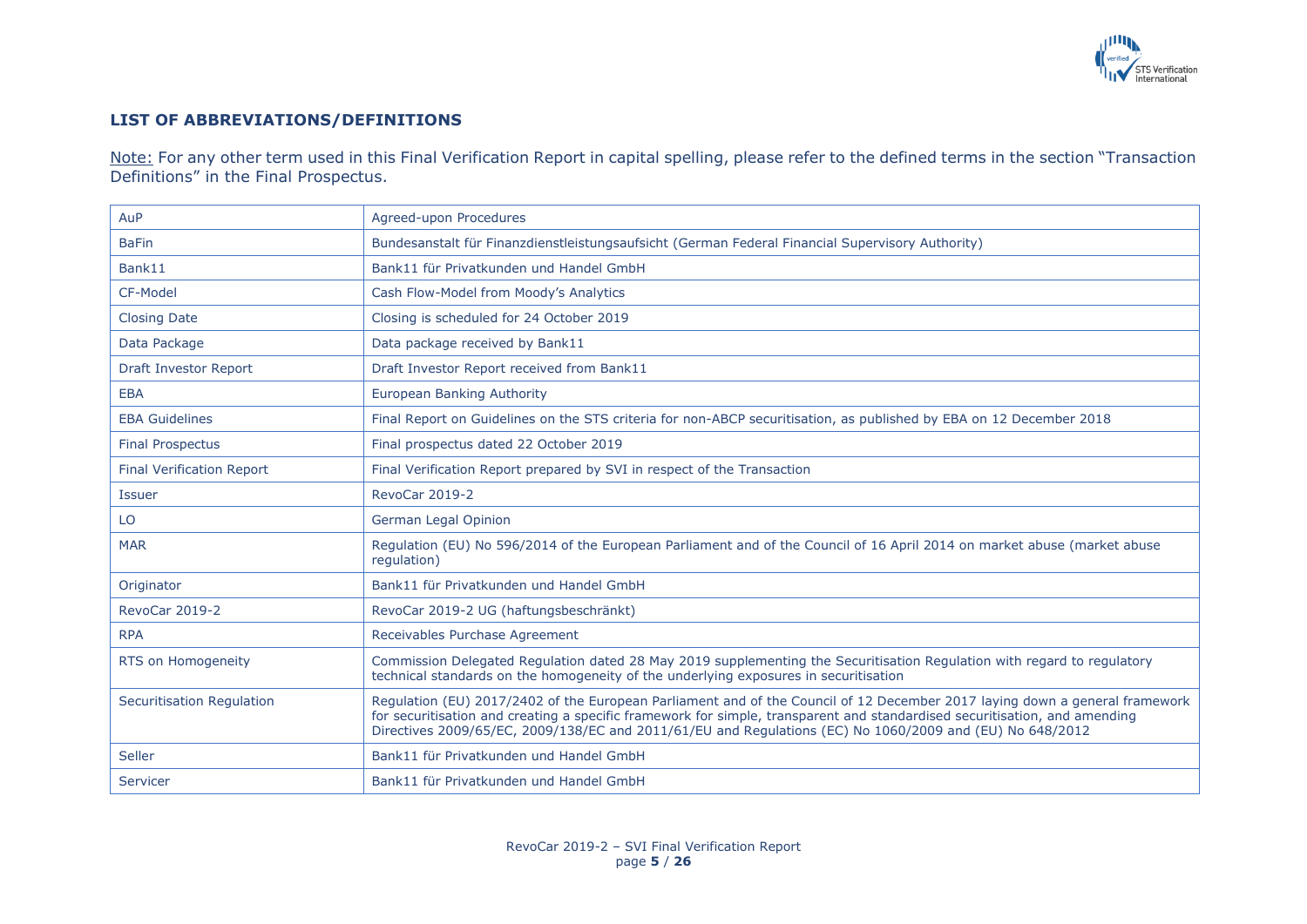

## **LIST OF ABBREVIATIONS/DEFINITIONS**

Note: For any other term used in this Final Verification Report in capital spelling, please refer to the defined terms in the section "Transaction" Definitions" in the Final Prospectus.

| AuP                              | Agreed-upon Procedures                                                                                                                                                                                                                                                                                                                                                |
|----------------------------------|-----------------------------------------------------------------------------------------------------------------------------------------------------------------------------------------------------------------------------------------------------------------------------------------------------------------------------------------------------------------------|
| <b>BaFin</b>                     | Bundesanstalt für Finanzdienstleistungsaufsicht (German Federal Financial Supervisory Authority)                                                                                                                                                                                                                                                                      |
| Bank11                           | Bank11 für Privatkunden und Handel GmbH                                                                                                                                                                                                                                                                                                                               |
| CF-Model                         | Cash Flow-Model from Moody's Analytics                                                                                                                                                                                                                                                                                                                                |
| <b>Closing Date</b>              | Closing is scheduled for 24 October 2019                                                                                                                                                                                                                                                                                                                              |
| Data Package                     | Data package received by Bank11                                                                                                                                                                                                                                                                                                                                       |
| <b>Draft Investor Report</b>     | Draft Investor Report received from Bank11                                                                                                                                                                                                                                                                                                                            |
| <b>EBA</b>                       | <b>European Banking Authority</b>                                                                                                                                                                                                                                                                                                                                     |
| <b>EBA Guidelines</b>            | Final Report on Guidelines on the STS criteria for non-ABCP securitisation, as published by EBA on 12 December 2018                                                                                                                                                                                                                                                   |
| <b>Final Prospectus</b>          | Final prospectus dated 22 October 2019                                                                                                                                                                                                                                                                                                                                |
| <b>Final Verification Report</b> | Final Verification Report prepared by SVI in respect of the Transaction                                                                                                                                                                                                                                                                                               |
| <b>Issuer</b>                    | RevoCar 2019-2                                                                                                                                                                                                                                                                                                                                                        |
| LO                               | German Legal Opinion                                                                                                                                                                                                                                                                                                                                                  |
| <b>MAR</b>                       | Regulation (EU) No 596/2014 of the European Parliament and of the Council of 16 April 2014 on market abuse (market abuse<br>requlation)                                                                                                                                                                                                                               |
| Originator                       | Bank11 für Privatkunden und Handel GmbH                                                                                                                                                                                                                                                                                                                               |
| RevoCar 2019-2                   | RevoCar 2019-2 UG (haftungsbeschränkt)                                                                                                                                                                                                                                                                                                                                |
| <b>RPA</b>                       | Receivables Purchase Agreement                                                                                                                                                                                                                                                                                                                                        |
| RTS on Homogeneity               | Commission Delegated Regulation dated 28 May 2019 supplementing the Securitisation Regulation with regard to regulatory<br>technical standards on the homogeneity of the underlying exposures in securitisation                                                                                                                                                       |
| <b>Securitisation Regulation</b> | Regulation (EU) 2017/2402 of the European Parliament and of the Council of 12 December 2017 laying down a general framework<br>for securitisation and creating a specific framework for simple, transparent and standardised securitisation, and amending<br>Directives 2009/65/EC, 2009/138/EC and 2011/61/EU and Regulations (EC) No 1060/2009 and (EU) No 648/2012 |
| Seller                           | Bank11 für Privatkunden und Handel GmbH                                                                                                                                                                                                                                                                                                                               |
| Servicer                         | Bank11 für Privatkunden und Handel GmbH                                                                                                                                                                                                                                                                                                                               |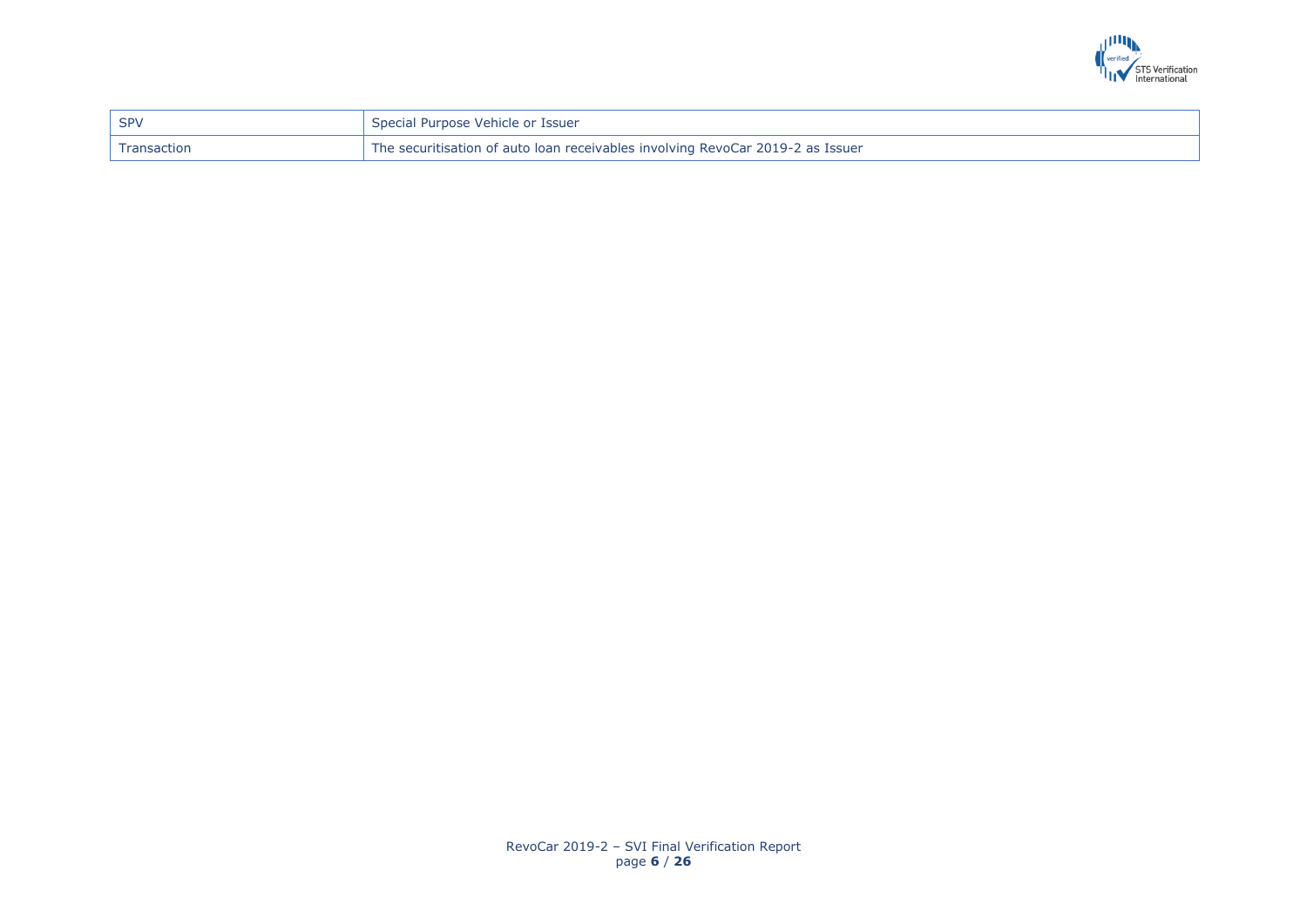

| SPV           | Special Purpose Vehicle or Issuer                                              |
|---------------|--------------------------------------------------------------------------------|
| ' Transaction | The securitisation of auto loan receivables involving RevoCar 2019-2 as Issuer |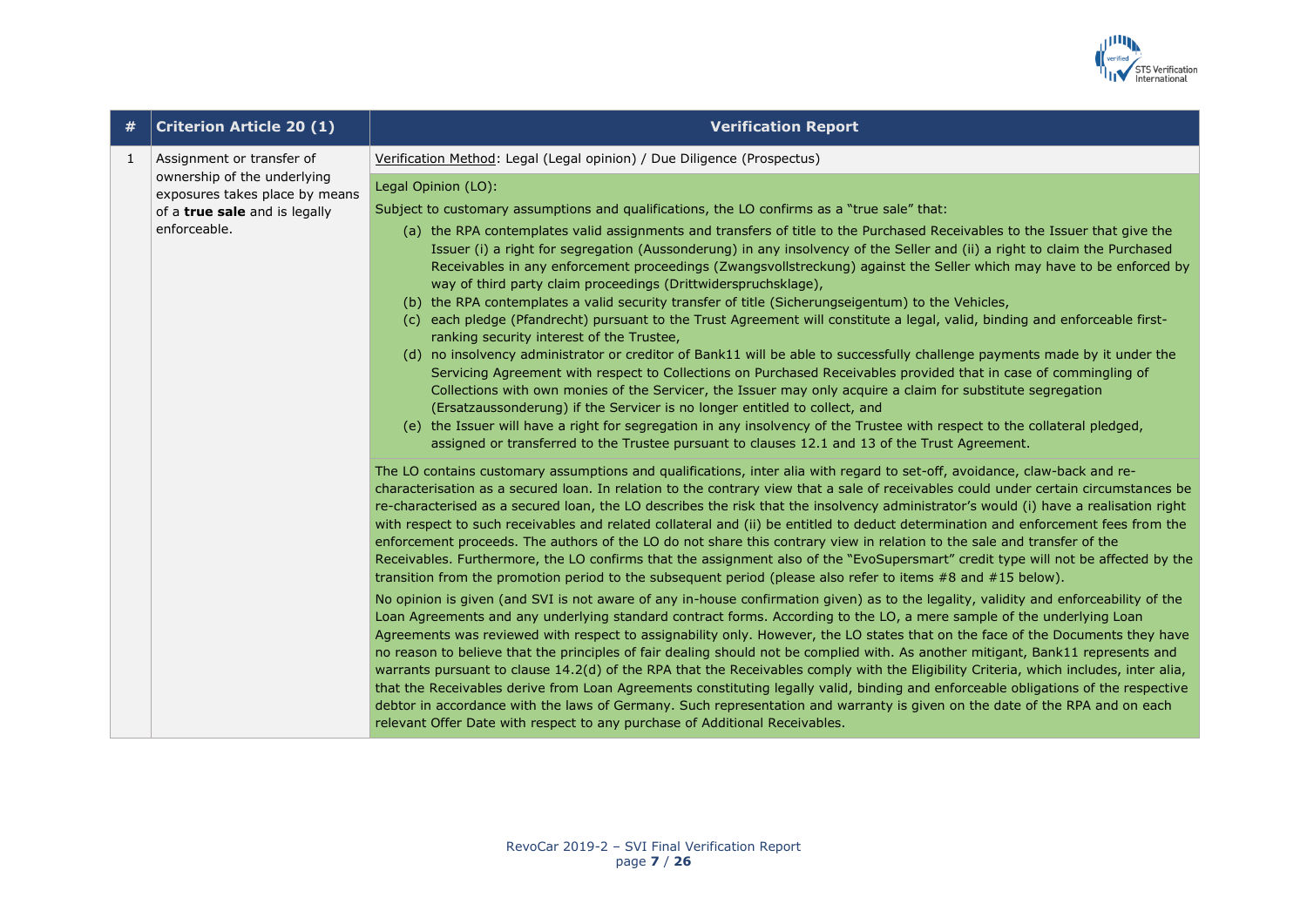

|   | <b>Criterion Article 20 (1)</b>                                                                                                             | <b>Verification Report</b>                                                                                                                                                                                                                                                                                                                                                                                                                                                                                                                                                                                                                                                                                                                                                                                                                                                                                                                                                                                                                                                                                                                                                                                                                                                                                                                                                                                                                                                                                                                                                                                                                                                                                                                                                                                                                                                                                                                                          |
|---|---------------------------------------------------------------------------------------------------------------------------------------------|---------------------------------------------------------------------------------------------------------------------------------------------------------------------------------------------------------------------------------------------------------------------------------------------------------------------------------------------------------------------------------------------------------------------------------------------------------------------------------------------------------------------------------------------------------------------------------------------------------------------------------------------------------------------------------------------------------------------------------------------------------------------------------------------------------------------------------------------------------------------------------------------------------------------------------------------------------------------------------------------------------------------------------------------------------------------------------------------------------------------------------------------------------------------------------------------------------------------------------------------------------------------------------------------------------------------------------------------------------------------------------------------------------------------------------------------------------------------------------------------------------------------------------------------------------------------------------------------------------------------------------------------------------------------------------------------------------------------------------------------------------------------------------------------------------------------------------------------------------------------------------------------------------------------------------------------------------------------|
| 1 | Assignment or transfer of<br>ownership of the underlying<br>exposures takes place by means<br>of a true sale and is legally<br>enforceable. | Verification Method: Legal (Legal opinion) / Due Diligence (Prospectus)                                                                                                                                                                                                                                                                                                                                                                                                                                                                                                                                                                                                                                                                                                                                                                                                                                                                                                                                                                                                                                                                                                                                                                                                                                                                                                                                                                                                                                                                                                                                                                                                                                                                                                                                                                                                                                                                                             |
|   |                                                                                                                                             | Legal Opinion (LO):<br>Subject to customary assumptions and qualifications, the LO confirms as a "true sale" that:<br>(a) the RPA contemplates valid assignments and transfers of title to the Purchased Receivables to the Issuer that give the<br>Issuer (i) a right for segregation (Aussonderung) in any insolvency of the Seller and (ii) a right to claim the Purchased<br>Receivables in any enforcement proceedings (Zwangsvollstreckung) against the Seller which may have to be enforced by<br>way of third party claim proceedings (Drittwiderspruchsklage),<br>(b) the RPA contemplates a valid security transfer of title (Sicherungseigentum) to the Vehicles,<br>(c) each pledge (Pfandrecht) pursuant to the Trust Agreement will constitute a legal, valid, binding and enforceable first-<br>ranking security interest of the Trustee,<br>(d) no insolvency administrator or creditor of Bank11 will be able to successfully challenge payments made by it under the<br>Servicing Agreement with respect to Collections on Purchased Receivables provided that in case of commingling of<br>Collections with own monies of the Servicer, the Issuer may only acquire a claim for substitute segregation<br>(Ersatzaussonderung) if the Servicer is no longer entitled to collect, and<br>(e) the Issuer will have a right for segregation in any insolvency of the Trustee with respect to the collateral pledged,<br>assigned or transferred to the Trustee pursuant to clauses 12.1 and 13 of the Trust Agreement.                                                                                                                                                                                                                                                                                                                                                                                                                              |
|   |                                                                                                                                             | The LO contains customary assumptions and qualifications, inter alia with regard to set-off, avoidance, claw-back and re-<br>characterisation as a secured loan. In relation to the contrary view that a sale of receivables could under certain circumstances be<br>re-characterised as a secured loan, the LO describes the risk that the insolvency administrator's would (i) have a realisation right<br>with respect to such receivables and related collateral and (ii) be entitled to deduct determination and enforcement fees from the<br>enforcement proceeds. The authors of the LO do not share this contrary view in relation to the sale and transfer of the<br>Receivables. Furthermore, the LO confirms that the assignment also of the "EvoSupersmart" credit type will not be affected by the<br>transition from the promotion period to the subsequent period (please also refer to items #8 and #15 below).<br>No opinion is given (and SVI is not aware of any in-house confirmation given) as to the legality, validity and enforceability of the<br>Loan Agreements and any underlying standard contract forms. According to the LO, a mere sample of the underlying Loan<br>Agreements was reviewed with respect to assignability only. However, the LO states that on the face of the Documents they have<br>no reason to believe that the principles of fair dealing should not be complied with. As another mitigant, Bank11 represents and<br>warrants pursuant to clause 14.2(d) of the RPA that the Receivables comply with the Eligibility Criteria, which includes, inter alia,<br>that the Receivables derive from Loan Agreements constituting legally valid, binding and enforceable obligations of the respective<br>debtor in accordance with the laws of Germany. Such representation and warranty is given on the date of the RPA and on each<br>relevant Offer Date with respect to any purchase of Additional Receivables. |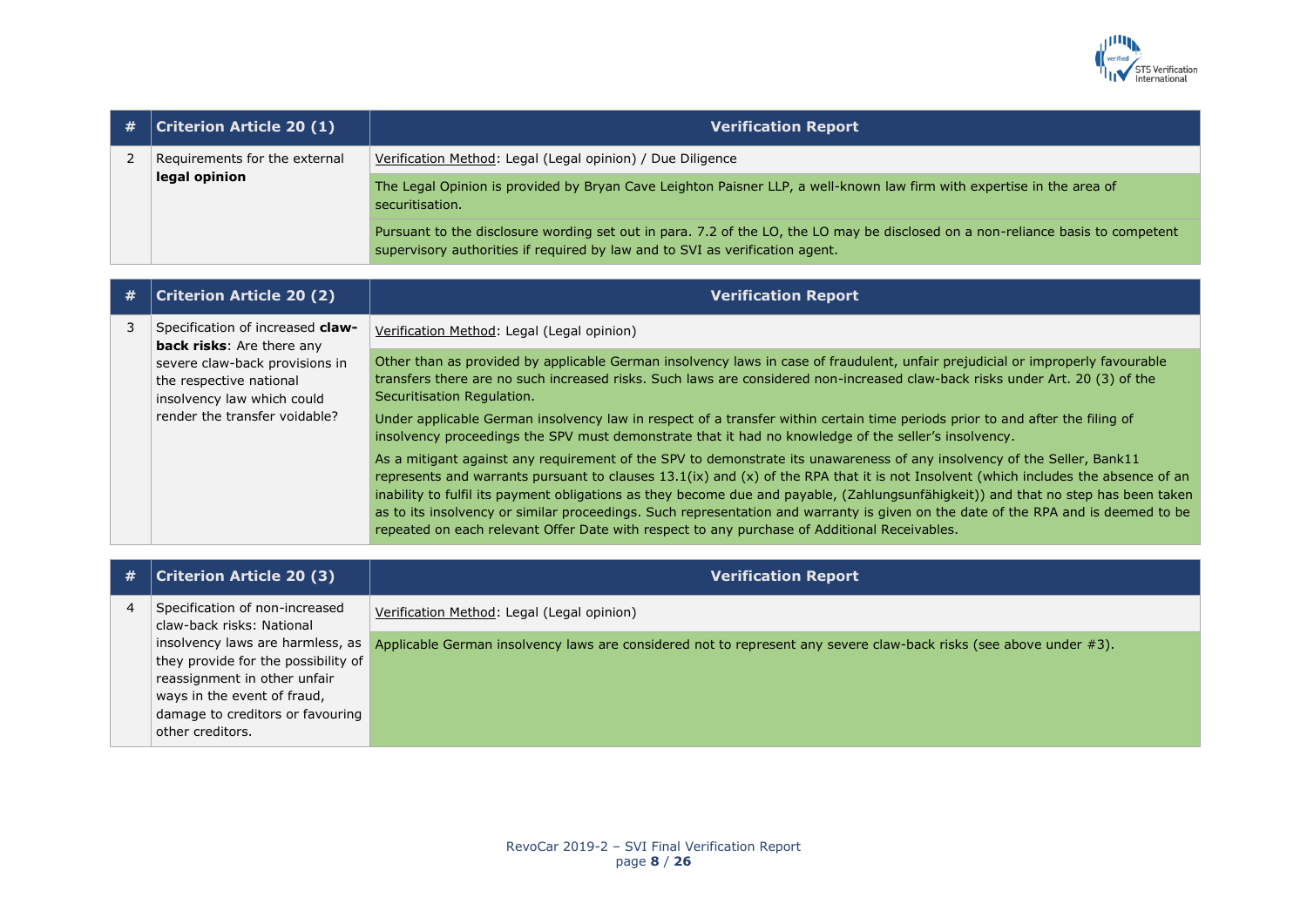

| # | <b>Criterion Article 20 (1)</b> | <b>Verification Report</b>                                                                                                                                                                                      |
|---|---------------------------------|-----------------------------------------------------------------------------------------------------------------------------------------------------------------------------------------------------------------|
|   | Requirements for the external   | Verification Method: Legal (Legal opinion) / Due Diligence                                                                                                                                                      |
|   | legal opinion                   | The Legal Opinion is provided by Bryan Cave Leighton Paisner LLP, a well-known law firm with expertise in the area of<br>securitisation.                                                                        |
|   |                                 | Pursuant to the disclosure wording set out in para. 7.2 of the LO, the LO may be disclosed on a non-reliance basis to competent<br>supervisory authorities if required by law and to SVI as verification agent. |

| # | <b>Criterion Article 20 (2)</b>                                                                                                                                                                  | <b>Verification Report</b>                                                                                                                                                                                                                                                                                                                                                                                                                                                                                                                                                                                                               |
|---|--------------------------------------------------------------------------------------------------------------------------------------------------------------------------------------------------|------------------------------------------------------------------------------------------------------------------------------------------------------------------------------------------------------------------------------------------------------------------------------------------------------------------------------------------------------------------------------------------------------------------------------------------------------------------------------------------------------------------------------------------------------------------------------------------------------------------------------------------|
|   | Specification of increased claw-<br><b>back risks:</b> Are there any<br>severe claw-back provisions in<br>the respective national<br>insolvency law which could<br>render the transfer voidable? | Verification Method: Legal (Legal opinion)                                                                                                                                                                                                                                                                                                                                                                                                                                                                                                                                                                                               |
|   |                                                                                                                                                                                                  | Other than as provided by applicable German insolvency laws in case of fraudulent, unfair prejudicial or improperly favourable<br>transfers there are no such increased risks. Such laws are considered non-increased claw-back risks under Art. 20 (3) of the<br>Securitisation Regulation.                                                                                                                                                                                                                                                                                                                                             |
|   |                                                                                                                                                                                                  | Under applicable German insolvency law in respect of a transfer within certain time periods prior to and after the filing of<br>insolvency proceedings the SPV must demonstrate that it had no knowledge of the seller's insolvency.                                                                                                                                                                                                                                                                                                                                                                                                     |
|   |                                                                                                                                                                                                  | As a mitigant against any requirement of the SPV to demonstrate its unawareness of any insolvency of the Seller, Bank11<br>represents and warrants pursuant to clauses 13.1(ix) and (x) of the RPA that it is not Insolvent (which includes the absence of an<br>inability to fulfil its payment obligations as they become due and payable, (Zahlungsunfähigkeit)) and that no step has been taken<br>as to its insolvency or similar proceedings. Such representation and warranty is given on the date of the RPA and is deemed to be<br>repeated on each relevant Offer Date with respect to any purchase of Additional Receivables. |

| # | <b>Criterion Article 20 (3)</b>                             | <b>Verification Report</b>                                                                                                                          |
|---|-------------------------------------------------------------|-----------------------------------------------------------------------------------------------------------------------------------------------------|
| 4 | Specification of non-increased<br>claw-back risks: National | Verification Method: Legal (Legal opinion)                                                                                                          |
|   |                                                             | insolvency laws are harmless, as Applicable German insolvency laws are considered not to represent any severe claw-back risks (see above under #3). |
|   | they provide for the possibility of                         |                                                                                                                                                     |
|   | reassignment in other unfair                                |                                                                                                                                                     |
|   | ways in the event of fraud,                                 |                                                                                                                                                     |
|   | damage to creditors or favouring                            |                                                                                                                                                     |
|   | other creditors.                                            |                                                                                                                                                     |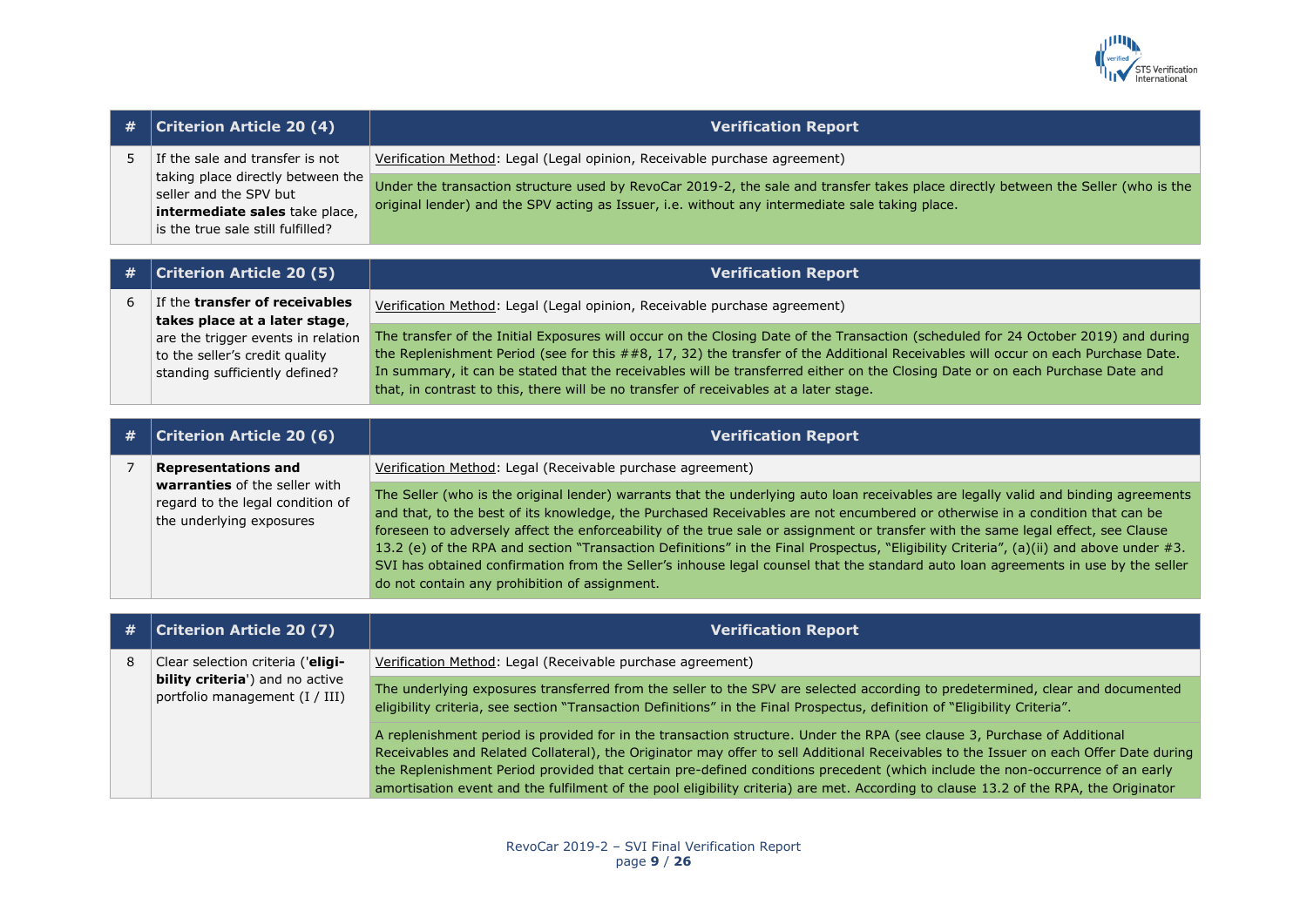

| #              | <b>Criterion Article 20 (4)</b>                                                                                                         | <b>Verification Report</b>                                                                                                                                                                                                                                                                                                                                                                                                                                                                                                                                                                                                                                                                                                               |
|----------------|-----------------------------------------------------------------------------------------------------------------------------------------|------------------------------------------------------------------------------------------------------------------------------------------------------------------------------------------------------------------------------------------------------------------------------------------------------------------------------------------------------------------------------------------------------------------------------------------------------------------------------------------------------------------------------------------------------------------------------------------------------------------------------------------------------------------------------------------------------------------------------------------|
| 5              | If the sale and transfer is not                                                                                                         | Verification Method: Legal (Legal opinion, Receivable purchase agreement)                                                                                                                                                                                                                                                                                                                                                                                                                                                                                                                                                                                                                                                                |
|                | taking place directly between the<br>seller and the SPV but<br>intermediate sales take place,<br>is the true sale still fulfilled?      | Under the transaction structure used by RevoCar 2019-2, the sale and transfer takes place directly between the Seller (who is the<br>original lender) and the SPV acting as Issuer, i.e. without any intermediate sale taking place.                                                                                                                                                                                                                                                                                                                                                                                                                                                                                                     |
| #              | <b>Criterion Article 20 (5)</b>                                                                                                         | <b>Verification Report</b>                                                                                                                                                                                                                                                                                                                                                                                                                                                                                                                                                                                                                                                                                                               |
|                |                                                                                                                                         |                                                                                                                                                                                                                                                                                                                                                                                                                                                                                                                                                                                                                                                                                                                                          |
| 6              | If the transfer of receivables                                                                                                          | Verification Method: Legal (Legal opinion, Receivable purchase agreement)                                                                                                                                                                                                                                                                                                                                                                                                                                                                                                                                                                                                                                                                |
|                | takes place at a later stage,<br>are the trigger events in relation<br>to the seller's credit quality<br>standing sufficiently defined? | The transfer of the Initial Exposures will occur on the Closing Date of the Transaction (scheduled for 24 October 2019) and during<br>the Replenishment Period (see for this ##8, 17, 32) the transfer of the Additional Receivables will occur on each Purchase Date.<br>In summary, it can be stated that the receivables will be transferred either on the Closing Date or on each Purchase Date and<br>that, in contrast to this, there will be no transfer of receivables at a later stage.                                                                                                                                                                                                                                         |
|                |                                                                                                                                         |                                                                                                                                                                                                                                                                                                                                                                                                                                                                                                                                                                                                                                                                                                                                          |
|                |                                                                                                                                         |                                                                                                                                                                                                                                                                                                                                                                                                                                                                                                                                                                                                                                                                                                                                          |
| #              | <b>Criterion Article 20 (6)</b>                                                                                                         | <b>Verification Report</b>                                                                                                                                                                                                                                                                                                                                                                                                                                                                                                                                                                                                                                                                                                               |
| $\overline{7}$ | <b>Representations and</b>                                                                                                              | Verification Method: Legal (Receivable purchase agreement)                                                                                                                                                                                                                                                                                                                                                                                                                                                                                                                                                                                                                                                                               |
|                | warranties of the seller with<br>regard to the legal condition of<br>the underlying exposures                                           | The Seller (who is the original lender) warrants that the underlying auto loan receivables are legally valid and binding agreements<br>and that, to the best of its knowledge, the Purchased Receivables are not encumbered or otherwise in a condition that can be<br>foreseen to adversely affect the enforceability of the true sale or assignment or transfer with the same legal effect, see Clause<br>13.2 (e) of the RPA and section "Transaction Definitions" in the Final Prospectus, "Eligibility Criteria", (a)(ii) and above under #3.<br>SVI has obtained confirmation from the Seller's inhouse legal counsel that the standard auto loan agreements in use by the seller<br>do not contain any prohibition of assignment. |
|                |                                                                                                                                         |                                                                                                                                                                                                                                                                                                                                                                                                                                                                                                                                                                                                                                                                                                                                          |
| #              | <b>Criterion Article 20 (7)</b>                                                                                                         | <b>Verification Report</b>                                                                                                                                                                                                                                                                                                                                                                                                                                                                                                                                                                                                                                                                                                               |

portfolio management (I / III) The underlying exposures transferred from the seller to the SPV are selected according to predetermined, clear and documented eligibility criteria, see section "Transaction Definitions" in the Final Prospectus, definition of "Eligibility Criteria".

> A replenishment period is provided for in the transaction structure. Under the RPA (see clause 3, Purchase of Additional Receivables and Related Collateral), the Originator may offer to sell Additional Receivables to the Issuer on each Offer Date during the Replenishment Period provided that certain pre-defined conditions precedent (which include the non-occurrence of an early amortisation event and the fulfilment of the pool eligibility criteria) are met. According to clause 13.2 of the RPA, the Originator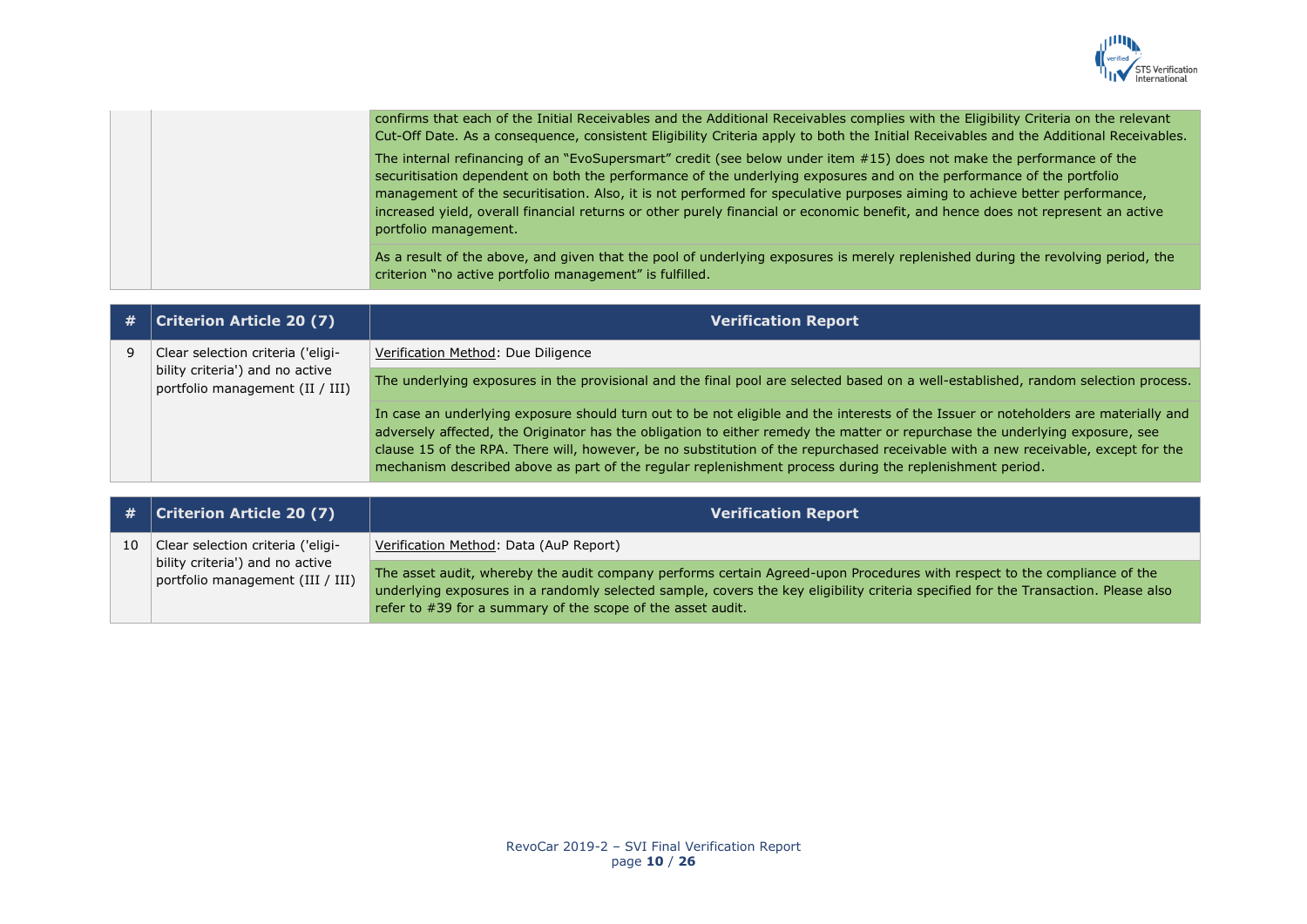

|  | confirms that each of the Initial Receivables and the Additional Receivables complies with the Eligibility Criteria on the relevant<br>Cut-Off Date. As a consequence, consistent Eligibility Criteria apply to both the Initial Receivables and the Additional Receivables.                                                                                                                                                                                                                                                             |
|--|------------------------------------------------------------------------------------------------------------------------------------------------------------------------------------------------------------------------------------------------------------------------------------------------------------------------------------------------------------------------------------------------------------------------------------------------------------------------------------------------------------------------------------------|
|  | The internal refinancing of an "EvoSupersmart" credit (see below under item #15) does not make the performance of the<br>securitisation dependent on both the performance of the underlying exposures and on the performance of the portfolio<br>management of the securitisation. Also, it is not performed for speculative purposes aiming to achieve better performance,<br>increased yield, overall financial returns or other purely financial or economic benefit, and hence does not represent an active<br>portfolio management. |
|  | As a result of the above, and given that the pool of underlying exposures is merely replenished during the revolving period, the<br>criterion "no active portfolio management" is fulfilled.                                                                                                                                                                                                                                                                                                                                             |

| # | <b>Criterion Article 20 (7)</b>                                    | <b>Verification Report</b>                                                                                                                                                                                                                                                                                                                                                                                                                                                                                          |
|---|--------------------------------------------------------------------|---------------------------------------------------------------------------------------------------------------------------------------------------------------------------------------------------------------------------------------------------------------------------------------------------------------------------------------------------------------------------------------------------------------------------------------------------------------------------------------------------------------------|
|   | Clear selection criteria ('eligi-                                  | Verification Method: Due Diligence                                                                                                                                                                                                                                                                                                                                                                                                                                                                                  |
|   | bility criteria') and no active<br>portfolio management (II / III) | The underlying exposures in the provisional and the final pool are selected based on a well-established, random selection process.                                                                                                                                                                                                                                                                                                                                                                                  |
|   |                                                                    | In case an underlying exposure should turn out to be not eligible and the interests of the Issuer or noteholders are materially and<br>adversely affected, the Originator has the obligation to either remedy the matter or repurchase the underlying exposure, see<br>clause 15 of the RPA. There will, however, be no substitution of the repurchased receivable with a new receivable, except for the<br>mechanism described above as part of the regular replenishment process during the replenishment period. |
|   |                                                                    |                                                                                                                                                                                                                                                                                                                                                                                                                                                                                                                     |

|    | $\#$ Criterion Article 20 (7)                                       | <b>Verification Report</b>                                                                                                                                                                                                                                                                                                    |
|----|---------------------------------------------------------------------|-------------------------------------------------------------------------------------------------------------------------------------------------------------------------------------------------------------------------------------------------------------------------------------------------------------------------------|
| 10 | Clear selection criteria ('eligi-                                   | Verification Method: Data (AuP Report)                                                                                                                                                                                                                                                                                        |
|    | bility criteria') and no active<br>portfolio management (III / III) | The asset audit, whereby the audit company performs certain Agreed-upon Procedures with respect to the compliance of the<br>underlying exposures in a randomly selected sample, covers the key eligibility criteria specified for the Transaction. Please also<br>refer to #39 for a summary of the scope of the asset audit. |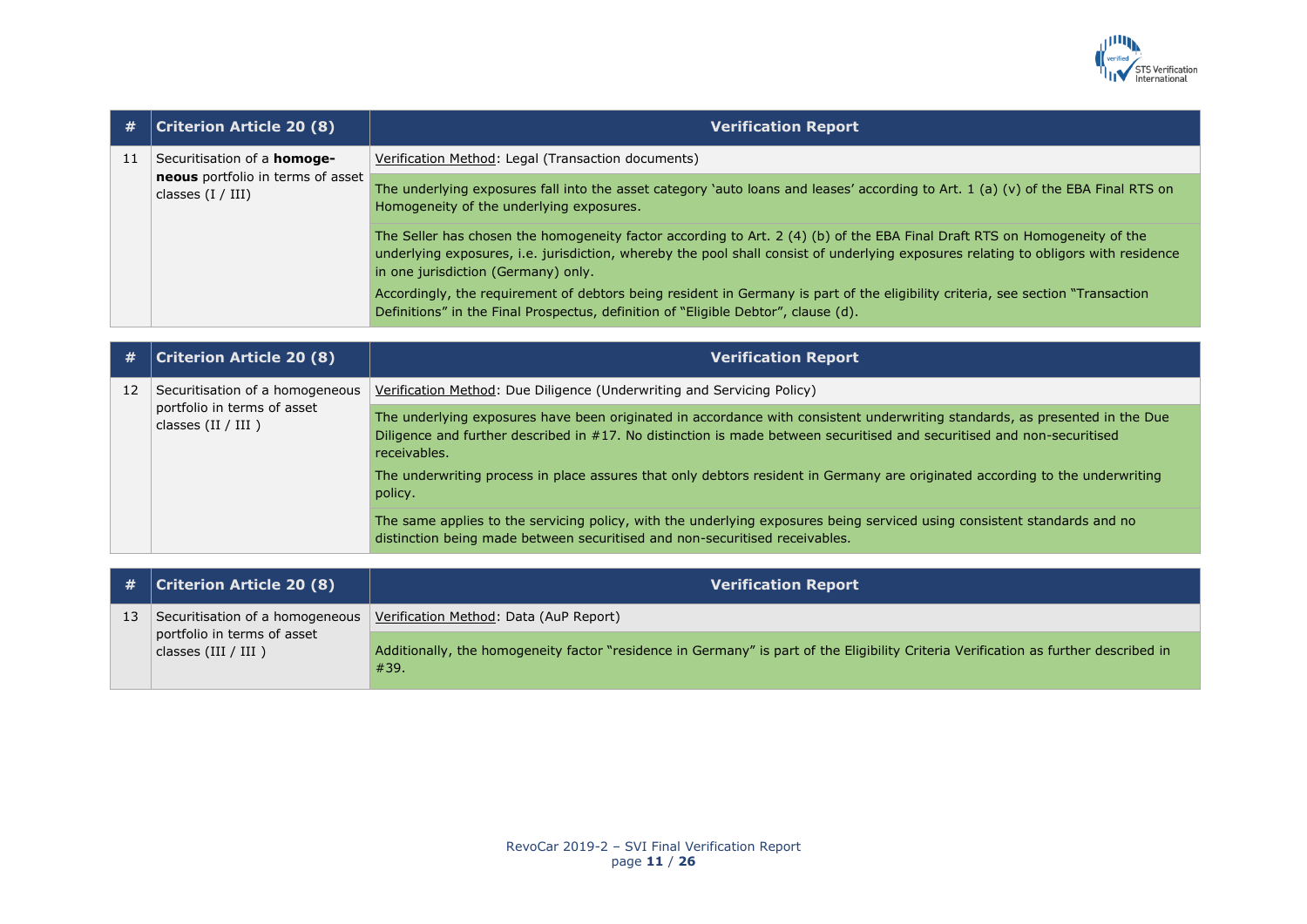

| #  | <b>Criterion Article 20 (8)</b>                          | <b>Verification Report</b>                                                                                                                                                                                                                                                                              |
|----|----------------------------------------------------------|---------------------------------------------------------------------------------------------------------------------------------------------------------------------------------------------------------------------------------------------------------------------------------------------------------|
| 11 | Securitisation of a homoge-                              | Verification Method: Legal (Transaction documents)                                                                                                                                                                                                                                                      |
|    | neous portfolio in terms of asset<br>classes $(I / III)$ | The underlying exposures fall into the asset category `auto loans and leases' according to Art. 1 (a) (v) of the EBA Final RTS on<br>Homogeneity of the underlying exposures.                                                                                                                           |
|    |                                                          | The Seller has chosen the homogeneity factor according to Art. 2 (4) (b) of the EBA Final Draft RTS on Homogeneity of the<br>underlying exposures, i.e. jurisdiction, whereby the pool shall consist of underlying exposures relating to obligors with residence<br>in one jurisdiction (Germany) only. |
|    |                                                          | Accordingly, the requirement of debtors being resident in Germany is part of the eligibility criteria, see section "Transaction<br>Definitions" in the Final Prospectus, definition of "Eligible Debtor", clause (d).                                                                                   |
|    |                                                          |                                                                                                                                                                                                                                                                                                         |
| #  | <b>Criterion Article 20 (8)</b>                          | <b>Verification Report</b>                                                                                                                                                                                                                                                                              |
| 12 | Securitisation of a homogeneous                          | Verification Method: Due Diligence (Underwriting and Servicing Policy)                                                                                                                                                                                                                                  |
|    | portfolio in terms of asset<br>classes $(II / III)$      | The underlying exposures have been originated in accordance with consistent underwriting standards, as presented in the Due<br>Diligence and further described in #17. No distinction is made between securitised and securitised and non-securitised<br>receivables.                                   |
|    |                                                          | The underwriting process in place assures that only debtors resident in Germany are originated according to the underwriting<br>policy.                                                                                                                                                                 |
|    |                                                          | The same applies to the servicing policy, with the underlying exposures being serviced using consistent standards and no<br>distinction being made between securitised and non-securitised receivables.                                                                                                 |
|    |                                                          |                                                                                                                                                                                                                                                                                                         |
| #  | <b>Criterion Article 20 (8)</b>                          | <b>Verification Report</b>                                                                                                                                                                                                                                                                              |
| 13 | Securitisation of a homogeneous                          | Verification Method: Data (AuP Report)                                                                                                                                                                                                                                                                  |
|    | portfolio in terms of asset<br>classes $(III / III)$     | Additionally, the homogeneity factor "residence in Germany" is part of the Eligibility Criteria Verification as further described in<br>#39.                                                                                                                                                            |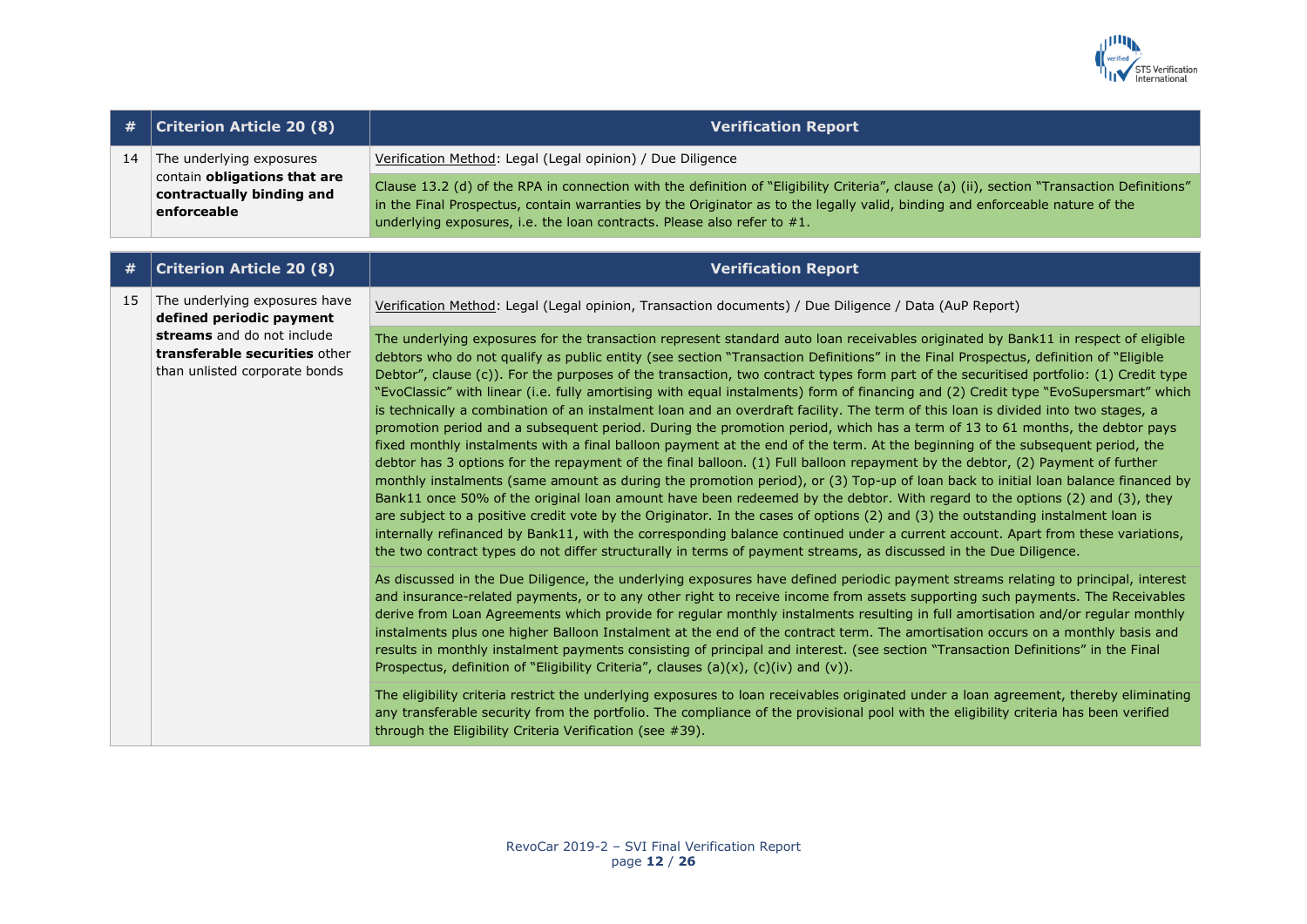

| #  | <b>Criterion Article 20 (8)</b>                                                                      | <b>Verification Report</b>                                                                                                                                                                                                                                                                                                                                                                                                                                                                                                                                                                                                                                                                                                                                                                                                                                                                                                                                                                                                                                                                                                                                                                                                                                                                                                                                                                                                                                                                                                                                                                                                                                                                                                                                  |
|----|------------------------------------------------------------------------------------------------------|-------------------------------------------------------------------------------------------------------------------------------------------------------------------------------------------------------------------------------------------------------------------------------------------------------------------------------------------------------------------------------------------------------------------------------------------------------------------------------------------------------------------------------------------------------------------------------------------------------------------------------------------------------------------------------------------------------------------------------------------------------------------------------------------------------------------------------------------------------------------------------------------------------------------------------------------------------------------------------------------------------------------------------------------------------------------------------------------------------------------------------------------------------------------------------------------------------------------------------------------------------------------------------------------------------------------------------------------------------------------------------------------------------------------------------------------------------------------------------------------------------------------------------------------------------------------------------------------------------------------------------------------------------------------------------------------------------------------------------------------------------------|
| 14 | The underlying exposures<br>contain obligations that are<br>contractually binding and<br>enforceable | Verification Method: Legal (Legal opinion) / Due Diligence                                                                                                                                                                                                                                                                                                                                                                                                                                                                                                                                                                                                                                                                                                                                                                                                                                                                                                                                                                                                                                                                                                                                                                                                                                                                                                                                                                                                                                                                                                                                                                                                                                                                                                  |
|    |                                                                                                      | Clause 13.2 (d) of the RPA in connection with the definition of "Eligibility Criteria", clause (a) (ii), section "Transaction Definitions"<br>in the Final Prospectus, contain warranties by the Originator as to the legally valid, binding and enforceable nature of the<br>underlying exposures, i.e. the loan contracts. Please also refer to $#1$ .                                                                                                                                                                                                                                                                                                                                                                                                                                                                                                                                                                                                                                                                                                                                                                                                                                                                                                                                                                                                                                                                                                                                                                                                                                                                                                                                                                                                    |
| #  | <b>Criterion Article 20 (8)</b>                                                                      | <b>Verification Report</b>                                                                                                                                                                                                                                                                                                                                                                                                                                                                                                                                                                                                                                                                                                                                                                                                                                                                                                                                                                                                                                                                                                                                                                                                                                                                                                                                                                                                                                                                                                                                                                                                                                                                                                                                  |
|    |                                                                                                      |                                                                                                                                                                                                                                                                                                                                                                                                                                                                                                                                                                                                                                                                                                                                                                                                                                                                                                                                                                                                                                                                                                                                                                                                                                                                                                                                                                                                                                                                                                                                                                                                                                                                                                                                                             |
| 15 | The underlying exposures have<br>defined periodic payment                                            | Verification Method: Legal (Legal opinion, Transaction documents) / Due Diligence / Data (AuP Report)                                                                                                                                                                                                                                                                                                                                                                                                                                                                                                                                                                                                                                                                                                                                                                                                                                                                                                                                                                                                                                                                                                                                                                                                                                                                                                                                                                                                                                                                                                                                                                                                                                                       |
|    | streams and do not include<br>transferable securities other<br>than unlisted corporate bonds         | The underlying exposures for the transaction represent standard auto loan receivables originated by Bank11 in respect of eligible<br>debtors who do not qualify as public entity (see section "Transaction Definitions" in the Final Prospectus, definition of "Eligible<br>Debtor", clause (c)). For the purposes of the transaction, two contract types form part of the securitised portfolio: (1) Credit type<br>"EvoClassic" with linear (i.e. fully amortising with equal instalments) form of financing and (2) Credit type "EvoSupersmart" which<br>is technically a combination of an instalment loan and an overdraft facility. The term of this loan is divided into two stages, a<br>promotion period and a subsequent period. During the promotion period, which has a term of 13 to 61 months, the debtor pays<br>fixed monthly instalments with a final balloon payment at the end of the term. At the beginning of the subsequent period, the<br>debtor has 3 options for the repayment of the final balloon. (1) Full balloon repayment by the debtor, (2) Payment of further<br>monthly instalments (same amount as during the promotion period), or (3) Top-up of loan back to initial loan balance financed by<br>Bank11 once 50% of the original loan amount have been redeemed by the debtor. With regard to the options (2) and (3), they<br>are subject to a positive credit vote by the Originator. In the cases of options (2) and (3) the outstanding instalment loan is<br>internally refinanced by Bank11, with the corresponding balance continued under a current account. Apart from these variations,<br>the two contract types do not differ structurally in terms of payment streams, as discussed in the Due Diligence. |
|    |                                                                                                      | As discussed in the Due Diligence, the underlying exposures have defined periodic payment streams relating to principal, interest<br>and insurance-related payments, or to any other right to receive income from assets supporting such payments. The Receivables<br>derive from Loan Agreements which provide for regular monthly instalments resulting in full amortisation and/or regular monthly<br>instalments plus one higher Balloon Instalment at the end of the contract term. The amortisation occurs on a monthly basis and<br>results in monthly instalment payments consisting of principal and interest. (see section "Transaction Definitions" in the Final<br>Prospectus, definition of "Eligibility Criteria", clauses $(a)(x)$ , $(c)(iv)$ and $(v)$ ).                                                                                                                                                                                                                                                                                                                                                                                                                                                                                                                                                                                                                                                                                                                                                                                                                                                                                                                                                                                  |
|    |                                                                                                      | The eligibility criteria restrict the underlying exposures to loan receivables originated under a loan agreement, thereby eliminating<br>any transferable security from the portfolio. The compliance of the provisional pool with the eligibility criteria has been verified<br>through the Eligibility Criteria Verification (see #39).                                                                                                                                                                                                                                                                                                                                                                                                                                                                                                                                                                                                                                                                                                                                                                                                                                                                                                                                                                                                                                                                                                                                                                                                                                                                                                                                                                                                                   |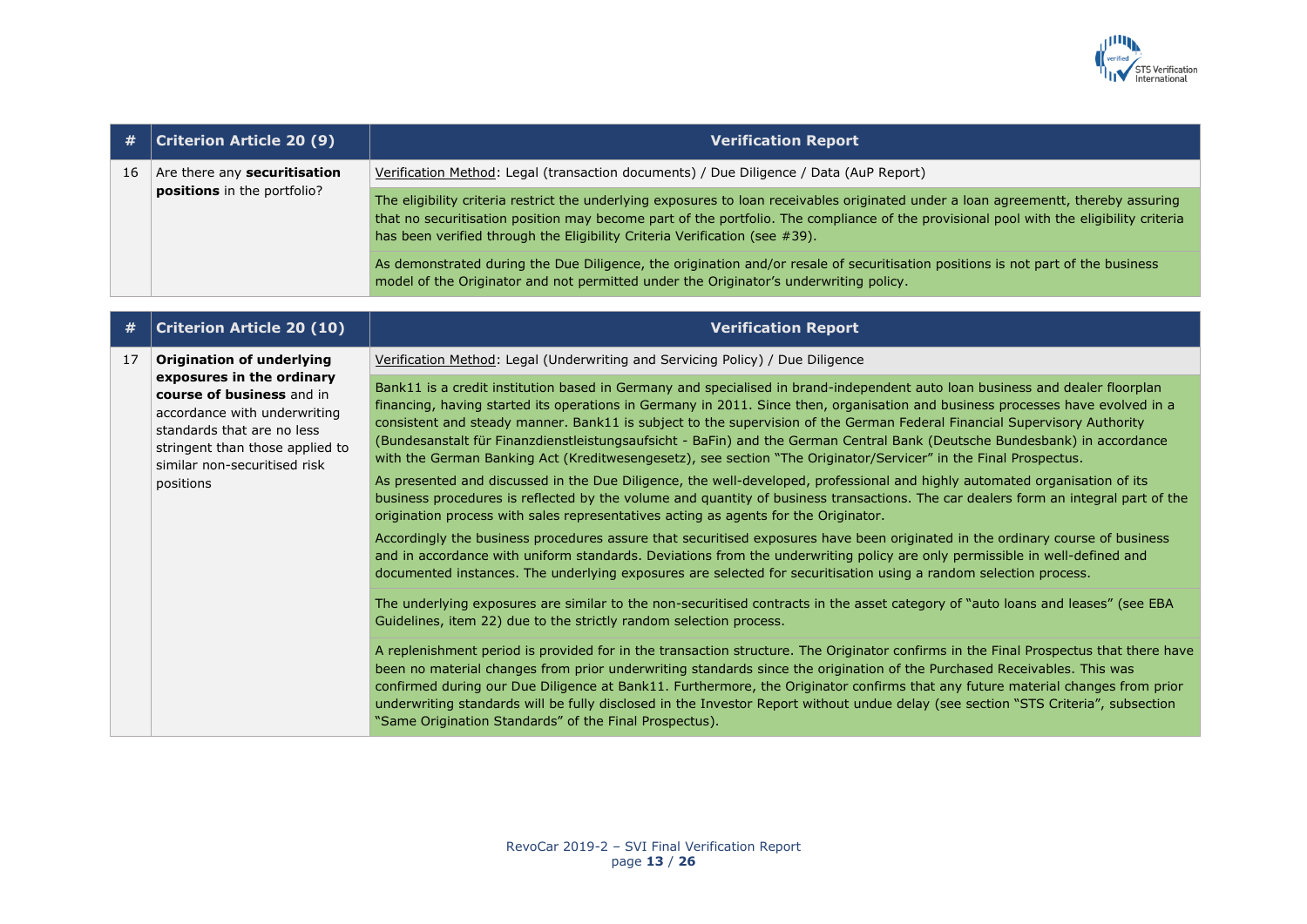

| #  | <b>Criterion Article 20 (9)</b>                                                                                                                                                                      | <b>Verification Report</b>                                                                                                                                                                                                                                                                                                                                                                                                                                                                                                                                                                                                                                                                                                                                                                                                                                                                                                                                                                                                                                                                                                                                                                                                                                                                                                                                                               |
|----|------------------------------------------------------------------------------------------------------------------------------------------------------------------------------------------------------|------------------------------------------------------------------------------------------------------------------------------------------------------------------------------------------------------------------------------------------------------------------------------------------------------------------------------------------------------------------------------------------------------------------------------------------------------------------------------------------------------------------------------------------------------------------------------------------------------------------------------------------------------------------------------------------------------------------------------------------------------------------------------------------------------------------------------------------------------------------------------------------------------------------------------------------------------------------------------------------------------------------------------------------------------------------------------------------------------------------------------------------------------------------------------------------------------------------------------------------------------------------------------------------------------------------------------------------------------------------------------------------|
| 16 | Are there any securitisation                                                                                                                                                                         | Verification Method: Legal (transaction documents) / Due Diligence / Data (AuP Report)                                                                                                                                                                                                                                                                                                                                                                                                                                                                                                                                                                                                                                                                                                                                                                                                                                                                                                                                                                                                                                                                                                                                                                                                                                                                                                   |
|    | positions in the portfolio?                                                                                                                                                                          | The eligibility criteria restrict the underlying exposures to loan receivables originated under a loan agreementt, thereby assuring<br>that no securitisation position may become part of the portfolio. The compliance of the provisional pool with the eligibility criteria<br>has been verified through the Eligibility Criteria Verification (see #39).                                                                                                                                                                                                                                                                                                                                                                                                                                                                                                                                                                                                                                                                                                                                                                                                                                                                                                                                                                                                                              |
|    |                                                                                                                                                                                                      | As demonstrated during the Due Diligence, the origination and/or resale of securitisation positions is not part of the business<br>model of the Originator and not permitted under the Originator's underwriting policy.                                                                                                                                                                                                                                                                                                                                                                                                                                                                                                                                                                                                                                                                                                                                                                                                                                                                                                                                                                                                                                                                                                                                                                 |
| #  | <b>Criterion Article 20 (10)</b>                                                                                                                                                                     | <b>Verification Report</b>                                                                                                                                                                                                                                                                                                                                                                                                                                                                                                                                                                                                                                                                                                                                                                                                                                                                                                                                                                                                                                                                                                                                                                                                                                                                                                                                                               |
| 17 | <b>Origination of underlying</b>                                                                                                                                                                     | Verification Method: Legal (Underwriting and Servicing Policy) / Due Diligence                                                                                                                                                                                                                                                                                                                                                                                                                                                                                                                                                                                                                                                                                                                                                                                                                                                                                                                                                                                                                                                                                                                                                                                                                                                                                                           |
|    | exposures in the ordinary<br>course of business and in<br>accordance with underwriting<br>standards that are no less<br>stringent than those applied to<br>similar non-securitised risk<br>positions | Bank11 is a credit institution based in Germany and specialised in brand-independent auto loan business and dealer floorplan<br>financing, having started its operations in Germany in 2011. Since then, organisation and business processes have evolved in a<br>consistent and steady manner. Bank11 is subject to the supervision of the German Federal Financial Supervisory Authority<br>(Bundesanstalt für Finanzdienstleistungsaufsicht - BaFin) and the German Central Bank (Deutsche Bundesbank) in accordance<br>with the German Banking Act (Kreditwesengesetz), see section "The Originator/Servicer" in the Final Prospectus.<br>As presented and discussed in the Due Diligence, the well-developed, professional and highly automated organisation of its<br>business procedures is reflected by the volume and quantity of business transactions. The car dealers form an integral part of the<br>origination process with sales representatives acting as agents for the Originator.<br>Accordingly the business procedures assure that securitised exposures have been originated in the ordinary course of business<br>and in accordance with uniform standards. Deviations from the underwriting policy are only permissible in well-defined and<br>documented instances. The underlying exposures are selected for securitisation using a random selection process. |
|    |                                                                                                                                                                                                      | The underlying exposures are similar to the non-securitised contracts in the asset category of "auto loans and leases" (see EBA<br>Guidelines, item 22) due to the strictly random selection process.                                                                                                                                                                                                                                                                                                                                                                                                                                                                                                                                                                                                                                                                                                                                                                                                                                                                                                                                                                                                                                                                                                                                                                                    |
|    |                                                                                                                                                                                                      | A replenishment period is provided for in the transaction structure. The Originator confirms in the Final Prospectus that there have<br>been no material changes from prior underwriting standards since the origination of the Purchased Receivables. This was<br>confirmed during our Due Diligence at Bank11. Furthermore, the Originator confirms that any future material changes from prior<br>underwriting standards will be fully disclosed in the Investor Report without undue delay (see section "STS Criteria", subsection<br>"Same Origination Standards" of the Final Prospectus).                                                                                                                                                                                                                                                                                                                                                                                                                                                                                                                                                                                                                                                                                                                                                                                         |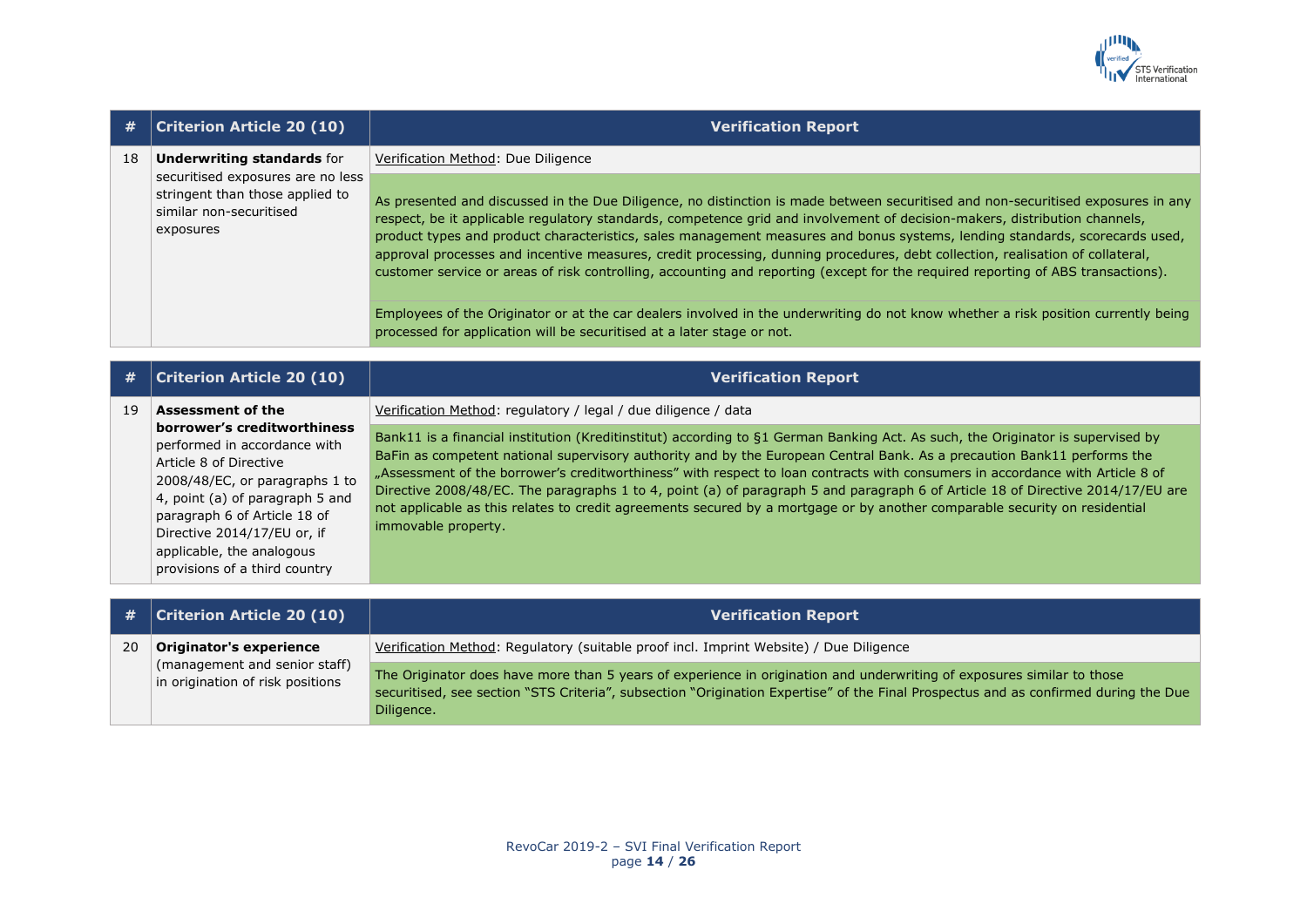

| #  | <b>Criterion Article 20 (10)</b>                                                                                                                  | <b>Verification Report</b>                                                                                                                                                                                                                                                                                                                                                                                                                                                                                                                                                                                                                                                                               |
|----|---------------------------------------------------------------------------------------------------------------------------------------------------|----------------------------------------------------------------------------------------------------------------------------------------------------------------------------------------------------------------------------------------------------------------------------------------------------------------------------------------------------------------------------------------------------------------------------------------------------------------------------------------------------------------------------------------------------------------------------------------------------------------------------------------------------------------------------------------------------------|
| 18 | <b>Underwriting standards for</b><br>securitised exposures are no less<br>stringent than those applied to<br>similar non-securitised<br>exposures | Verification Method: Due Diligence<br>As presented and discussed in the Due Diligence, no distinction is made between securitised and non-securitised exposures in any<br>respect, be it applicable regulatory standards, competence grid and involvement of decision-makers, distribution channels,<br>product types and product characteristics, sales management measures and bonus systems, lending standards, scorecards used,<br>approval processes and incentive measures, credit processing, dunning procedures, debt collection, realisation of collateral,<br>customer service or areas of risk controlling, accounting and reporting (except for the required reporting of ABS transactions). |
|    |                                                                                                                                                   | Employees of the Originator or at the car dealers involved in the underwriting do not know whether a risk position currently being<br>processed for application will be securitised at a later stage or not.                                                                                                                                                                                                                                                                                                                                                                                                                                                                                             |

| #  | <b>Criterion Article 20 (10)</b>                                                                                                                                                                                                                                                                                    | <b>Verification Report</b>                                                                                                                                                                                                                                                                                                                                                                                                                                                                                                                                                                                                                                                                                                                            |
|----|---------------------------------------------------------------------------------------------------------------------------------------------------------------------------------------------------------------------------------------------------------------------------------------------------------------------|-------------------------------------------------------------------------------------------------------------------------------------------------------------------------------------------------------------------------------------------------------------------------------------------------------------------------------------------------------------------------------------------------------------------------------------------------------------------------------------------------------------------------------------------------------------------------------------------------------------------------------------------------------------------------------------------------------------------------------------------------------|
| 19 | <b>Assessment of the</b><br>borrower's creditworthiness<br>performed in accordance with<br>Article 8 of Directive<br>2008/48/EC, or paragraphs 1 to<br>4, point (a) of paragraph 5 and<br>paragraph 6 of Article 18 of<br>Directive 2014/17/EU or, if<br>applicable, the analogous<br>provisions of a third country | Verification Method: regulatory / legal / due diligence / data<br>Bank11 is a financial institution (Kreditinstitut) according to §1 German Banking Act. As such, the Originator is supervised by<br>BaFin as competent national supervisory authority and by the European Central Bank. As a precaution Bank11 performs the<br>"Assessment of the borrower's creditworthiness" with respect to loan contracts with consumers in accordance with Article 8 of<br>Directive 2008/48/EC. The paragraphs 1 to 4, point (a) of paragraph 5 and paragraph 6 of Article 18 of Directive 2014/17/EU are<br>not applicable as this relates to credit agreements secured by a mortgage or by another comparable security on residential<br>immovable property. |
|    |                                                                                                                                                                                                                                                                                                                     |                                                                                                                                                                                                                                                                                                                                                                                                                                                                                                                                                                                                                                                                                                                                                       |

|           | $\#$   Criterion Article 20 (10)                                  | <b>Verification Report</b>                                                                                                                                                                                                                                                  |
|-----------|-------------------------------------------------------------------|-----------------------------------------------------------------------------------------------------------------------------------------------------------------------------------------------------------------------------------------------------------------------------|
| <b>20</b> | Originator's experience                                           | Verification Method: Regulatory (suitable proof incl. Imprint Website) / Due Diligence                                                                                                                                                                                      |
|           | (management and senior staff)<br>in origination of risk positions | The Originator does have more than 5 years of experience in origination and underwriting of exposures similar to those<br>securitised, see section "STS Criteria", subsection "Origination Expertise" of the Final Prospectus and as confirmed during the Due<br>Diligence. |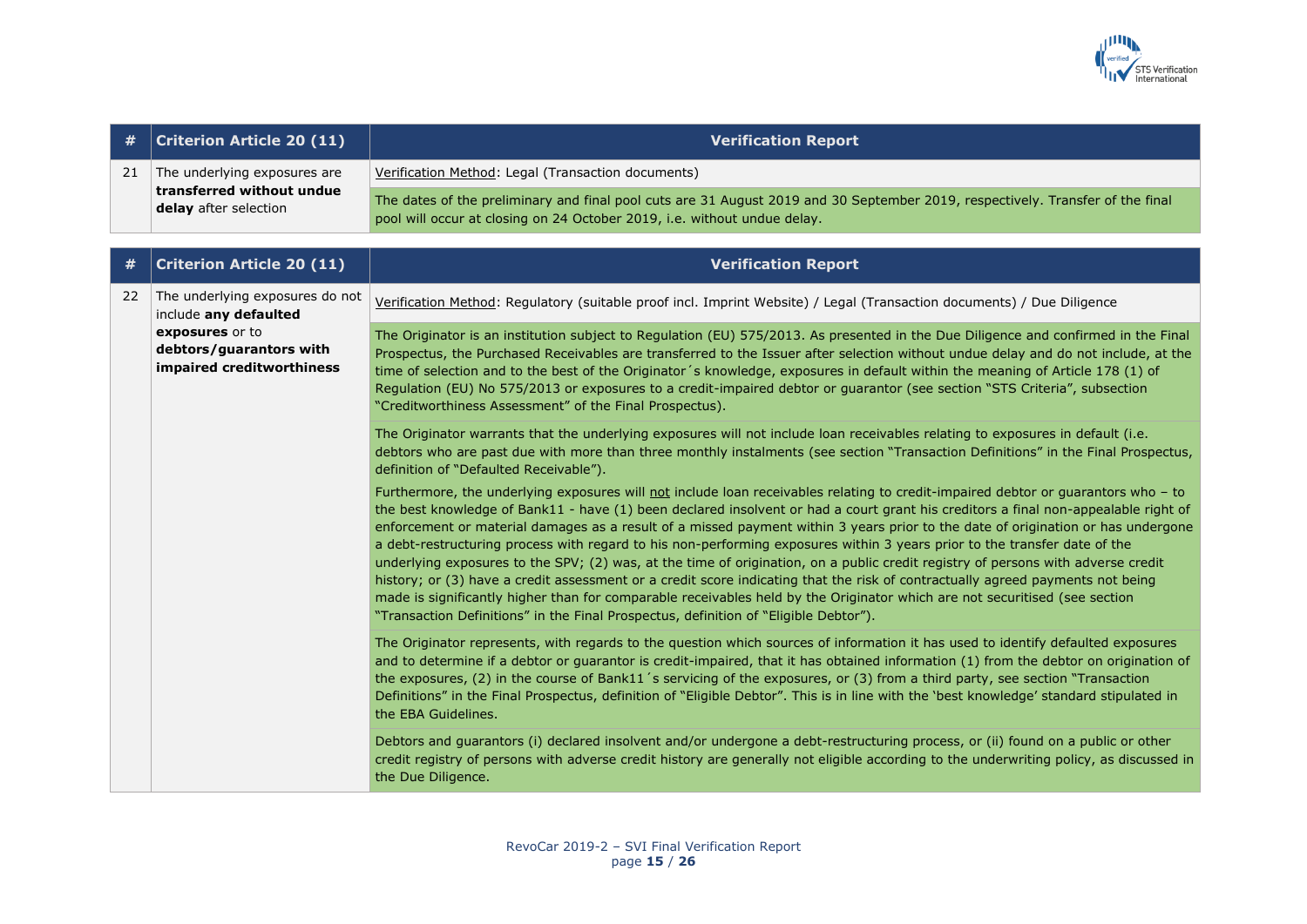

| #  | <b>Criterion Article 20 (11)</b>                                                   | <b>Verification Report</b>                                                                                                                                                                                                                                                                                                                                                                                                                                                                                                                                                                                                                                                                                                                                                                                                                                                                                                                                                                                                           |
|----|------------------------------------------------------------------------------------|--------------------------------------------------------------------------------------------------------------------------------------------------------------------------------------------------------------------------------------------------------------------------------------------------------------------------------------------------------------------------------------------------------------------------------------------------------------------------------------------------------------------------------------------------------------------------------------------------------------------------------------------------------------------------------------------------------------------------------------------------------------------------------------------------------------------------------------------------------------------------------------------------------------------------------------------------------------------------------------------------------------------------------------|
| 21 | The underlying exposures are<br>transferred without undue<br>delay after selection | Verification Method: Legal (Transaction documents)                                                                                                                                                                                                                                                                                                                                                                                                                                                                                                                                                                                                                                                                                                                                                                                                                                                                                                                                                                                   |
|    |                                                                                    | The dates of the preliminary and final pool cuts are 31 August 2019 and 30 September 2019, respectively. Transfer of the final<br>pool will occur at closing on 24 October 2019, i.e. without undue delay.                                                                                                                                                                                                                                                                                                                                                                                                                                                                                                                                                                                                                                                                                                                                                                                                                           |
|    | <b>Criterion Article 20 (11)</b>                                                   | <b>Verification Report</b>                                                                                                                                                                                                                                                                                                                                                                                                                                                                                                                                                                                                                                                                                                                                                                                                                                                                                                                                                                                                           |
| 22 | The underlying exposures do not<br>include any defaulted                           | Verification Method: Regulatory (suitable proof incl. Imprint Website) / Legal (Transaction documents) / Due Diligence                                                                                                                                                                                                                                                                                                                                                                                                                                                                                                                                                                                                                                                                                                                                                                                                                                                                                                               |
|    | exposures or to<br>debtors/guarantors with<br>impaired creditworthiness            | The Originator is an institution subject to Regulation (EU) 575/2013. As presented in the Due Diligence and confirmed in the Final<br>Prospectus, the Purchased Receivables are transferred to the Issuer after selection without undue delay and do not include, at the<br>time of selection and to the best of the Originator's knowledge, exposures in default within the meaning of Article 178 (1) of<br>Regulation (EU) No 575/2013 or exposures to a credit-impaired debtor or guarantor (see section "STS Criteria", subsection<br>"Creditworthiness Assessment" of the Final Prospectus).                                                                                                                                                                                                                                                                                                                                                                                                                                   |
|    |                                                                                    | The Originator warrants that the underlying exposures will not include loan receivables relating to exposures in default (i.e.<br>debtors who are past due with more than three monthly instalments (see section "Transaction Definitions" in the Final Prospectus,<br>definition of "Defaulted Receivable").                                                                                                                                                                                                                                                                                                                                                                                                                                                                                                                                                                                                                                                                                                                        |
|    |                                                                                    | Furthermore, the underlying exposures will not include loan receivables relating to credit-impaired debtor or guarantors who - to<br>the best knowledge of Bank11 - have (1) been declared insolvent or had a court grant his creditors a final non-appealable right of<br>enforcement or material damages as a result of a missed payment within 3 years prior to the date of origination or has undergone<br>a debt-restructuring process with regard to his non-performing exposures within 3 years prior to the transfer date of the<br>underlying exposures to the SPV; (2) was, at the time of origination, on a public credit registry of persons with adverse credit<br>history; or (3) have a credit assessment or a credit score indicating that the risk of contractually agreed payments not being<br>made is significantly higher than for comparable receivables held by the Originator which are not securitised (see section<br>"Transaction Definitions" in the Final Prospectus, definition of "Eligible Debtor"). |
|    |                                                                                    | The Originator represents, with regards to the question which sources of information it has used to identify defaulted exposures<br>and to determine if a debtor or guarantor is credit-impaired, that it has obtained information (1) from the debtor on origination of<br>the exposures, (2) in the course of Bank11's servicing of the exposures, or (3) from a third party, see section "Transaction<br>Definitions" in the Final Prospectus, definition of "Eligible Debtor". This is in line with the 'best knowledge' standard stipulated in<br>the EBA Guidelines.                                                                                                                                                                                                                                                                                                                                                                                                                                                           |
|    |                                                                                    | Debtors and guarantors (i) declared insolvent and/or undergone a debt-restructuring process, or (ii) found on a public or other<br>credit registry of persons with adverse credit history are generally not eligible according to the underwriting policy, as discussed in<br>the Due Diligence.                                                                                                                                                                                                                                                                                                                                                                                                                                                                                                                                                                                                                                                                                                                                     |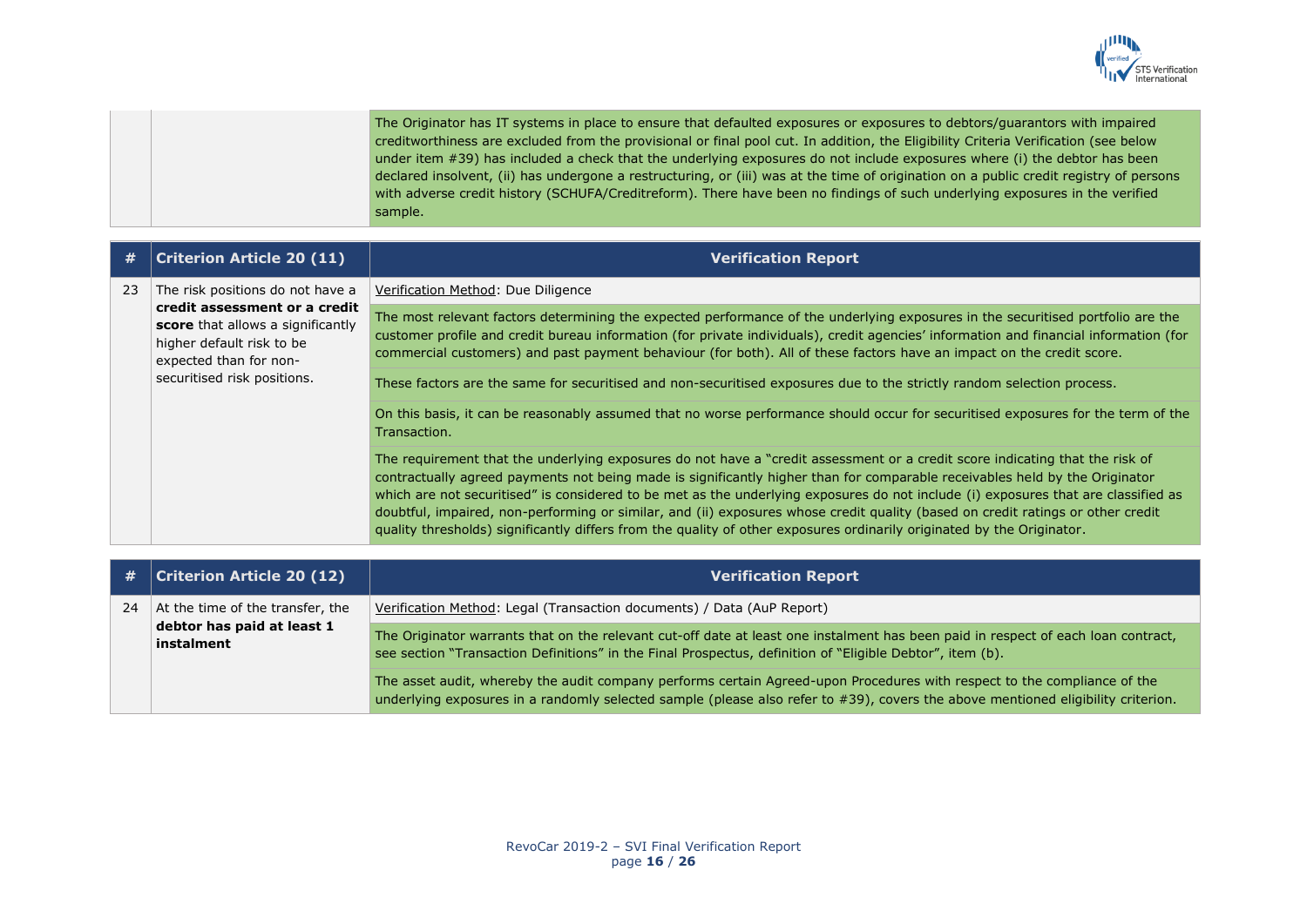

The Originator has IT systems in place to ensure that defaulted exposures or exposures to debtors/guarantors with impaired creditworthiness are excluded from the provisional or final pool cut. In addition, the Eligibility Criteria Verification (see below under item #39) has included a check that the underlying exposures do not include exposures where (i) the debtor has been declared insolvent, (ii) has undergone a restructuring, or (iii) was at the time of origination on a public credit registry of persons with adverse credit history (SCHUFA/Creditreform). There have been no findings of such underlying exposures in the verified sample.

| #  | <b>Criterion Article 20 (11)</b>                                                                                                                                                             | <b>Verification Report</b>                                                                                                                                                                                                                                                                                                                                                                                                                                                                                                                                                                                                                                     |
|----|----------------------------------------------------------------------------------------------------------------------------------------------------------------------------------------------|----------------------------------------------------------------------------------------------------------------------------------------------------------------------------------------------------------------------------------------------------------------------------------------------------------------------------------------------------------------------------------------------------------------------------------------------------------------------------------------------------------------------------------------------------------------------------------------------------------------------------------------------------------------|
| 23 | The risk positions do not have a<br>credit assessment or a credit<br>score that allows a significantly<br>higher default risk to be<br>expected than for non-<br>securitised risk positions. | Verification Method: Due Diligence                                                                                                                                                                                                                                                                                                                                                                                                                                                                                                                                                                                                                             |
|    |                                                                                                                                                                                              | The most relevant factors determining the expected performance of the underlying exposures in the securitised portfolio are the<br>customer profile and credit bureau information (for private individuals), credit agencies' information and financial information (for<br>commercial customers) and past payment behaviour (for both). All of these factors have an impact on the credit score.                                                                                                                                                                                                                                                              |
|    |                                                                                                                                                                                              | These factors are the same for securitised and non-securitised exposures due to the strictly random selection process.                                                                                                                                                                                                                                                                                                                                                                                                                                                                                                                                         |
|    |                                                                                                                                                                                              | On this basis, it can be reasonably assumed that no worse performance should occur for securitised exposures for the term of the<br>Transaction.                                                                                                                                                                                                                                                                                                                                                                                                                                                                                                               |
|    |                                                                                                                                                                                              | The requirement that the underlying exposures do not have a "credit assessment or a credit score indicating that the risk of<br>contractually agreed payments not being made is significantly higher than for comparable receivables held by the Originator<br>which are not securitised" is considered to be met as the underlying exposures do not include (i) exposures that are classified as<br>doubtful, impaired, non-performing or similar, and (ii) exposures whose credit quality (based on credit ratings or other credit<br>quality thresholds) significantly differs from the quality of other exposures ordinarily originated by the Originator. |
|    |                                                                                                                                                                                              |                                                                                                                                                                                                                                                                                                                                                                                                                                                                                                                                                                                                                                                                |
| #  | <b>Criterion Article 20 (12)</b>                                                                                                                                                             | <b>Verification Report</b>                                                                                                                                                                                                                                                                                                                                                                                                                                                                                                                                                                                                                                     |
| 24 | At the time of the transfer, the<br>debtor has paid at least 1<br>instalment                                                                                                                 | Verification Method: Legal (Transaction documents) / Data (AuP Report)                                                                                                                                                                                                                                                                                                                                                                                                                                                                                                                                                                                         |
|    |                                                                                                                                                                                              | The Originator warrants that on the relevant cut-off date at least one instalment has been paid in respect of each loan contract,<br>see section "Transaction Definitions" in the Final Prospectus, definition of "Eligible Debtor", item (b).                                                                                                                                                                                                                                                                                                                                                                                                                 |
|    |                                                                                                                                                                                              | 그 그 그 그 아이들은 그 사람들은 그 사람들은 그 사람들을 지금 모르는 것이 없다. 그 사람들은 그 사람들은 그 사람들은 그 사람들을 지금 모르는 것이 없다. 그 사람들은 그 사람들은 그 사람들을                                                                                                                                                                                                                                                                                                                                                                                                                                                                                                                                                 |

The asset audit, whereby the audit company performs certain Agreed-upon Procedures with respect to the compliance of the underlying exposures in a randomly selected sample (please also refer to #39), covers the above mentioned eligibility criterion.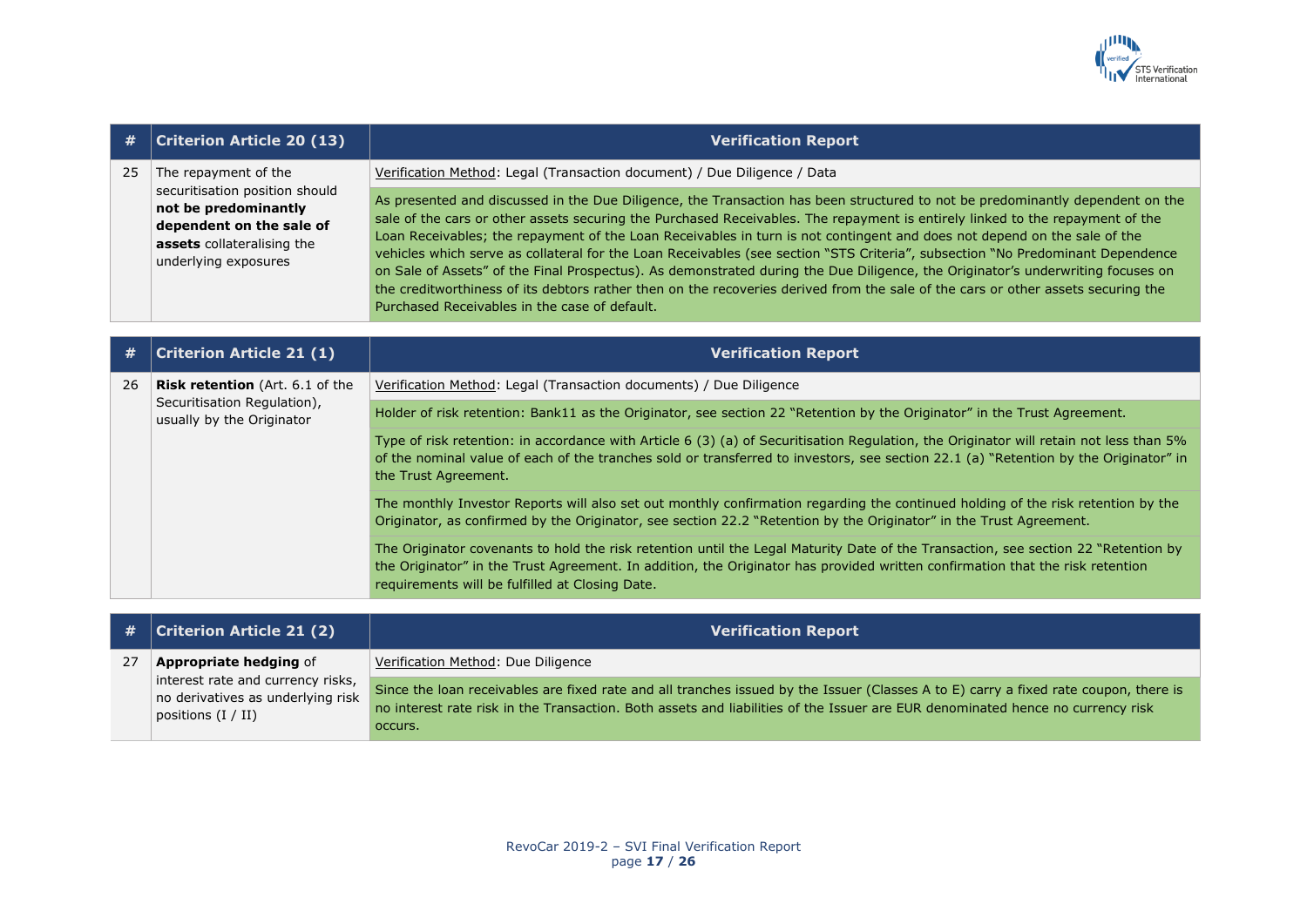

| #  | <b>Criterion Article 20 (13)</b>                                                                                                                                 | <b>Verification Report</b>                                                                                                                                                                                                                                                                                                                                                                                                                                                                                                                                                                                                                                                                                                                                                                                                                           |
|----|------------------------------------------------------------------------------------------------------------------------------------------------------------------|------------------------------------------------------------------------------------------------------------------------------------------------------------------------------------------------------------------------------------------------------------------------------------------------------------------------------------------------------------------------------------------------------------------------------------------------------------------------------------------------------------------------------------------------------------------------------------------------------------------------------------------------------------------------------------------------------------------------------------------------------------------------------------------------------------------------------------------------------|
| 25 | The repayment of the<br>securitisation position should<br>not be predominantly<br>dependent on the sale of<br>assets collateralising the<br>underlying exposures | Verification Method: Legal (Transaction document) / Due Diligence / Data                                                                                                                                                                                                                                                                                                                                                                                                                                                                                                                                                                                                                                                                                                                                                                             |
|    |                                                                                                                                                                  | As presented and discussed in the Due Diligence, the Transaction has been structured to not be predominantly dependent on the<br>sale of the cars or other assets securing the Purchased Receivables. The repayment is entirely linked to the repayment of the<br>Loan Receivables; the repayment of the Loan Receivables in turn is not contingent and does not depend on the sale of the<br>vehicles which serve as collateral for the Loan Receivables (see section "STS Criteria", subsection "No Predominant Dependence<br>on Sale of Assets" of the Final Prospectus). As demonstrated during the Due Diligence, the Originator's underwriting focuses on<br>the creditworthiness of its debtors rather then on the recoveries derived from the sale of the cars or other assets securing the<br>Purchased Receivables in the case of default. |
|    |                                                                                                                                                                  |                                                                                                                                                                                                                                                                                                                                                                                                                                                                                                                                                                                                                                                                                                                                                                                                                                                      |
| #  | <b>Criterion Article 21 (1)</b>                                                                                                                                  | <b>Verification Report</b>                                                                                                                                                                                                                                                                                                                                                                                                                                                                                                                                                                                                                                                                                                                                                                                                                           |
| 26 | Risk retention (Art. 6.1 of the                                                                                                                                  | Verification Method: Legal (Transaction documents) / Due Diligence                                                                                                                                                                                                                                                                                                                                                                                                                                                                                                                                                                                                                                                                                                                                                                                   |
|    | Securitisation Regulation),<br>usually by the Originator                                                                                                         | Holder of risk retention: Bank11 as the Originator, see section 22 "Retention by the Originator" in the Trust Agreement.                                                                                                                                                                                                                                                                                                                                                                                                                                                                                                                                                                                                                                                                                                                             |
|    |                                                                                                                                                                  | Type of risk retention: in accordance with Article 6 (3) (a) of Securitisation Regulation, the Originator will retain not less than 5%<br>of the nominal value of each of the tranches sold or transferred to investors, see section 22.1 (a) "Retention by the Originator" in<br>the Trust Agreement.                                                                                                                                                                                                                                                                                                                                                                                                                                                                                                                                               |
|    |                                                                                                                                                                  | The monthly Investor Reports will also set out monthly confirmation regarding the continued holding of the risk retention by the<br>Originator, as confirmed by the Originator, see section 22.2 "Retention by the Originator" in the Trust Agreement.                                                                                                                                                                                                                                                                                                                                                                                                                                                                                                                                                                                               |
|    |                                                                                                                                                                  | The Originator covenants to hold the risk retention until the Legal Maturity Date of the Transaction, see section 22 "Retention by<br>the Originator" in the Trust Agreement. In addition, the Originator has provided written confirmation that the risk retention<br>requirements will be fulfilled at Closing Date.                                                                                                                                                                                                                                                                                                                                                                                                                                                                                                                               |

| # | <b>Criterion Article 21 (2)</b>                                                                | <b>Verification Report</b>                                                                                                                                                                                                                                                        |
|---|------------------------------------------------------------------------------------------------|-----------------------------------------------------------------------------------------------------------------------------------------------------------------------------------------------------------------------------------------------------------------------------------|
|   | <b>Appropriate hedging of</b>                                                                  | Verification Method: Due Diligence                                                                                                                                                                                                                                                |
|   | interest rate and currency risks,<br>no derivatives as underlying risk<br>positions $(I / II)$ | Since the loan receivables are fixed rate and all tranches issued by the Issuer (Classes A to E) carry a fixed rate coupon, there is<br>no interest rate risk in the Transaction. Both assets and liabilities of the Issuer are EUR denominated hence no currency risk<br>occurs. |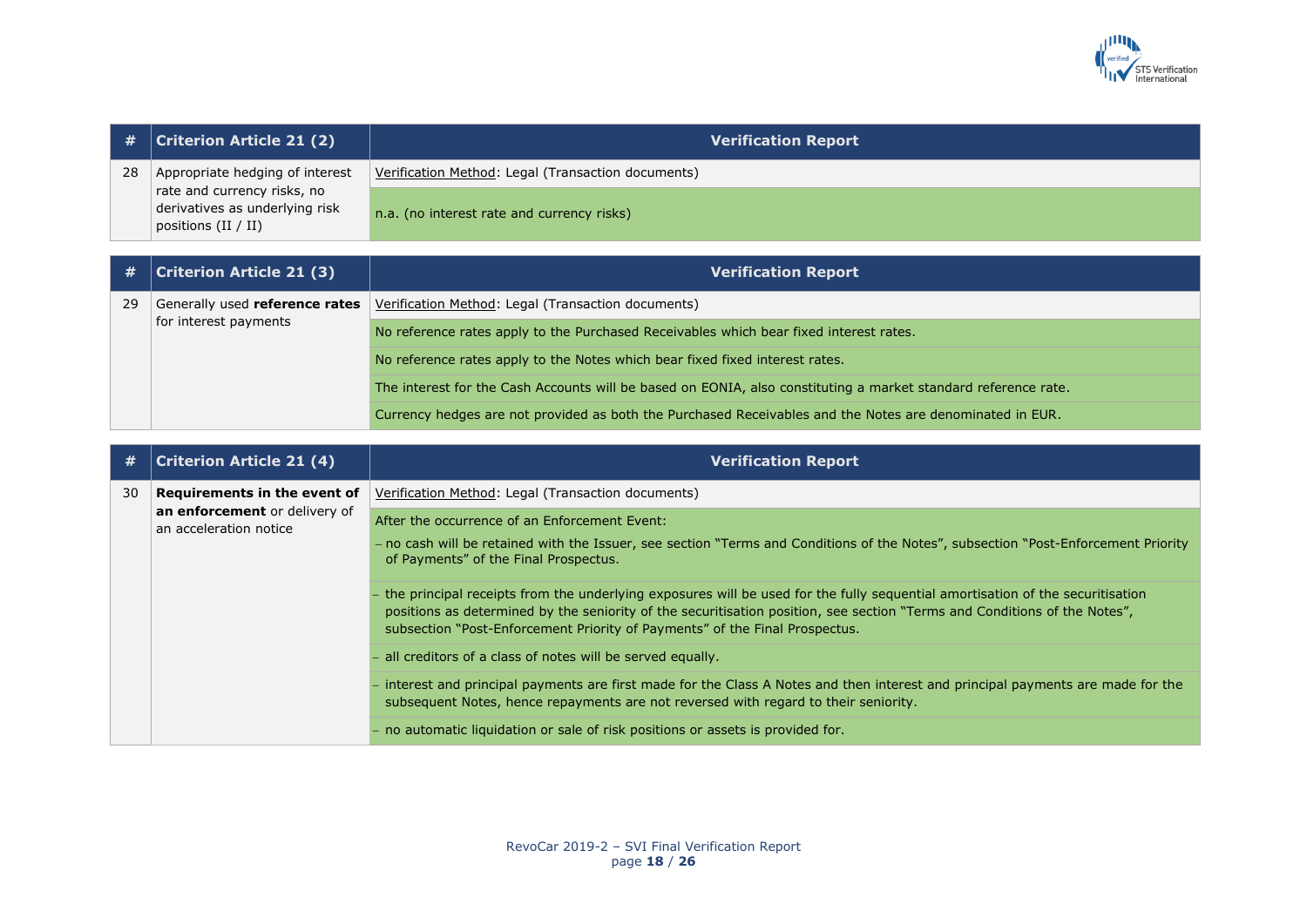

| #  | <b>Criterion Article 21 (2)</b>                                                        | <b>Verification Report</b>                         |
|----|----------------------------------------------------------------------------------------|----------------------------------------------------|
| 28 | Appropriate hedging of interest                                                        | Verification Method: Legal (Transaction documents) |
|    | rate and currency risks, no<br>derivatives as underlying risk<br>positions $(II / II)$ | n.a. (no interest rate and currency risks)         |

|    | $\#$   Criterion Article 21 (3) | <b>Verification Report</b>                                                                                     |
|----|---------------------------------|----------------------------------------------------------------------------------------------------------------|
| 29 | for interest payments           | Generally used <b>reference rates</b>   Verification Method: Legal (Transaction documents)                     |
|    |                                 | No reference rates apply to the Purchased Receivables which bear fixed interest rates.                         |
|    |                                 | No reference rates apply to the Notes which bear fixed fixed interest rates.                                   |
|    |                                 | The interest for the Cash Accounts will be based on EONIA, also constituting a market standard reference rate. |
|    |                                 | Currency hedges are not provided as both the Purchased Receivables and the Notes are denominated in EUR.       |

| #  | <b>Criterion Article 21 (4)</b>                         | <b>Verification Report</b>                                                                                                                                                                                                                                                                                                                |
|----|---------------------------------------------------------|-------------------------------------------------------------------------------------------------------------------------------------------------------------------------------------------------------------------------------------------------------------------------------------------------------------------------------------------|
| 30 | Requirements in the event of                            | Verification Method: Legal (Transaction documents)                                                                                                                                                                                                                                                                                        |
|    | an enforcement or delivery of<br>an acceleration notice | After the occurrence of an Enforcement Event:                                                                                                                                                                                                                                                                                             |
|    |                                                         | - no cash will be retained with the Issuer, see section "Terms and Conditions of the Notes", subsection "Post-Enforcement Priority<br>of Payments" of the Final Prospectus.                                                                                                                                                               |
|    |                                                         | the principal receipts from the underlying exposures will be used for the fully sequential amortisation of the securitisation<br>positions as determined by the seniority of the securitisation position, see section "Terms and Conditions of the Notes",<br>subsection "Post-Enforcement Priority of Payments" of the Final Prospectus. |
|    |                                                         | all creditors of a class of notes will be served equally.                                                                                                                                                                                                                                                                                 |
|    |                                                         | interest and principal payments are first made for the Class A Notes and then interest and principal payments are made for the<br>subsequent Notes, hence repayments are not reversed with regard to their seniority.                                                                                                                     |
|    |                                                         | - no automatic liquidation or sale of risk positions or assets is provided for.                                                                                                                                                                                                                                                           |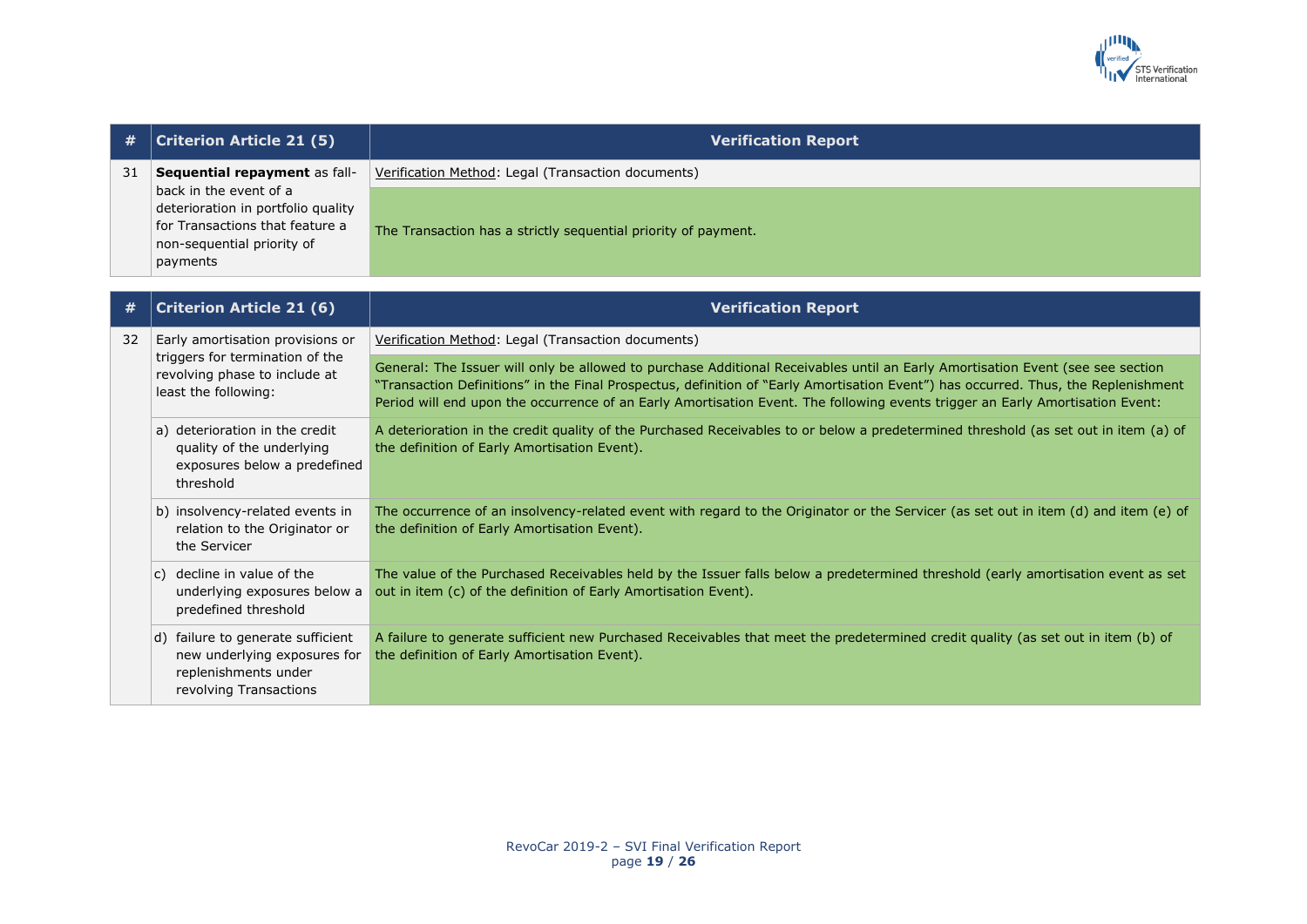

| #  | <b>Criterion Article 21 (5)</b>                                                                                                           | <b>Verification Report</b>                                                                                                                                                                                                                                                                                                                                                                            |
|----|-------------------------------------------------------------------------------------------------------------------------------------------|-------------------------------------------------------------------------------------------------------------------------------------------------------------------------------------------------------------------------------------------------------------------------------------------------------------------------------------------------------------------------------------------------------|
| 31 | Sequential repayment as fall-                                                                                                             | Verification Method: Legal (Transaction documents)                                                                                                                                                                                                                                                                                                                                                    |
|    | back in the event of a<br>deterioration in portfolio quality<br>for Transactions that feature a<br>non-sequential priority of<br>payments | The Transaction has a strictly sequential priority of payment.                                                                                                                                                                                                                                                                                                                                        |
| #  | <b>Criterion Article 21 (6)</b>                                                                                                           | <b>Verification Report</b>                                                                                                                                                                                                                                                                                                                                                                            |
| 32 | Early amortisation provisions or                                                                                                          | Verification Method: Legal (Transaction documents)                                                                                                                                                                                                                                                                                                                                                    |
|    | triggers for termination of the<br>revolving phase to include at<br>least the following:                                                  | General: The Issuer will only be allowed to purchase Additional Receivables until an Early Amortisation Event (see see section<br>"Transaction Definitions" in the Final Prospectus, definition of "Early Amortisation Event") has occurred. Thus, the Replenishment<br>Period will end upon the occurrence of an Early Amortisation Event. The following events trigger an Early Amortisation Event: |
|    | a) deterioration in the credit<br>quality of the underlying<br>exposures below a predefined<br>threshold                                  | A deterioration in the credit quality of the Purchased Receivables to or below a predetermined threshold (as set out in item (a) of<br>the definition of Early Amortisation Event).                                                                                                                                                                                                                   |
|    | b) insolvency-related events in<br>relation to the Originator or<br>the Servicer                                                          | The occurrence of an insolvency-related event with regard to the Originator or the Servicer (as set out in item (d) and item (e) of<br>the definition of Early Amortisation Event).                                                                                                                                                                                                                   |
|    | c) decline in value of the<br>underlying exposures below a<br>predefined threshold                                                        | The value of the Purchased Receivables held by the Issuer falls below a predetermined threshold (early amortisation event as set<br>out in item (c) of the definition of Early Amortisation Event).                                                                                                                                                                                                   |
|    | d) failure to generate sufficient<br>new underlying exposures for<br>replenishments under<br>revolving Transactions                       | A failure to generate sufficient new Purchased Receivables that meet the predetermined credit quality (as set out in item (b) of<br>the definition of Early Amortisation Event).                                                                                                                                                                                                                      |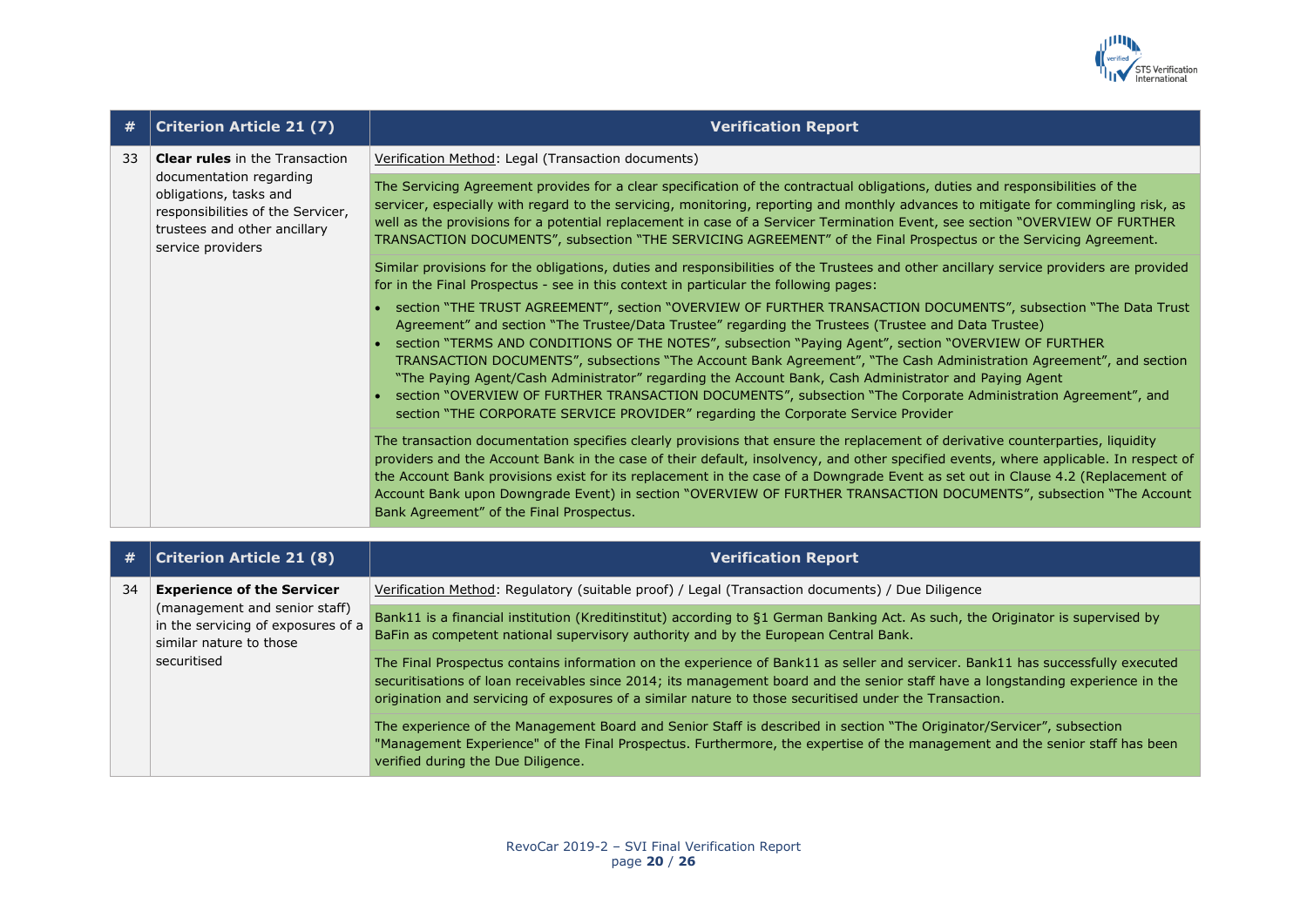

| #  | <b>Criterion Article 21 (7)</b>                                                                                                                                                      | <b>Verification Report</b>                                                                                                                                                                                                                                                                                                                                                                                                                                                                                                                                                                                                                                                                                                                                             |
|----|--------------------------------------------------------------------------------------------------------------------------------------------------------------------------------------|------------------------------------------------------------------------------------------------------------------------------------------------------------------------------------------------------------------------------------------------------------------------------------------------------------------------------------------------------------------------------------------------------------------------------------------------------------------------------------------------------------------------------------------------------------------------------------------------------------------------------------------------------------------------------------------------------------------------------------------------------------------------|
| 33 | <b>Clear rules</b> in the Transaction<br>documentation regarding<br>obligations, tasks and<br>responsibilities of the Servicer,<br>trustees and other ancillary<br>service providers | Verification Method: Legal (Transaction documents)                                                                                                                                                                                                                                                                                                                                                                                                                                                                                                                                                                                                                                                                                                                     |
|    |                                                                                                                                                                                      | The Servicing Agreement provides for a clear specification of the contractual obligations, duties and responsibilities of the<br>servicer, especially with regard to the servicing, monitoring, reporting and monthly advances to mitigate for commingling risk, as<br>well as the provisions for a potential replacement in case of a Servicer Termination Event, see section "OVERVIEW OF FURTHER<br>TRANSACTION DOCUMENTS", subsection "THE SERVICING AGREEMENT" of the Final Prospectus or the Servicing Agreement.                                                                                                                                                                                                                                                |
|    |                                                                                                                                                                                      | Similar provisions for the obligations, duties and responsibilities of the Trustees and other ancillary service providers are provided<br>for in the Final Prospectus - see in this context in particular the following pages:                                                                                                                                                                                                                                                                                                                                                                                                                                                                                                                                         |
|    |                                                                                                                                                                                      | • section "THE TRUST AGREEMENT", section "OVERVIEW OF FURTHER TRANSACTION DOCUMENTS", subsection "The Data Trust<br>Agreement" and section "The Trustee/Data Trustee" regarding the Trustees (Trustee and Data Trustee)<br>• section "TERMS AND CONDITIONS OF THE NOTES", subsection "Paying Agent", section "OVERVIEW OF FURTHER<br>TRANSACTION DOCUMENTS", subsections "The Account Bank Agreement", "The Cash Administration Agreement", and section<br>"The Paying Agent/Cash Administrator" regarding the Account Bank, Cash Administrator and Paying Agent<br>section "OVERVIEW OF FURTHER TRANSACTION DOCUMENTS", subsection "The Corporate Administration Agreement", and<br>section "THE CORPORATE SERVICE PROVIDER" regarding the Corporate Service Provider |
|    |                                                                                                                                                                                      | The transaction documentation specifies clearly provisions that ensure the replacement of derivative counterparties, liquidity<br>providers and the Account Bank in the case of their default, insolvency, and other specified events, where applicable. In respect of<br>the Account Bank provisions exist for its replacement in the case of a Downgrade Event as set out in Clause 4.2 (Replacement of<br>Account Bank upon Downgrade Event) in section "OVERVIEW OF FURTHER TRANSACTION DOCUMENTS", subsection "The Account<br>Bank Agreement" of the Final Prospectus.                                                                                                                                                                                            |
|    |                                                                                                                                                                                      |                                                                                                                                                                                                                                                                                                                                                                                                                                                                                                                                                                                                                                                                                                                                                                        |
| #  | <b>Criterion Article 21 (8)</b>                                                                                                                                                      | <b>Verification Report</b>                                                                                                                                                                                                                                                                                                                                                                                                                                                                                                                                                                                                                                                                                                                                             |
| 34 | <b>Experience of the Servicer</b>                                                                                                                                                    | Verification Method: Regulatory (suitable proof) / Legal (Transaction documents) / Due Diligence                                                                                                                                                                                                                                                                                                                                                                                                                                                                                                                                                                                                                                                                       |
|    | (management and senior staff)<br>in the servicing of exposures of a                                                                                                                  | Bank11 is a financial institution (Kreditinstitut) according to §1 German Banking Act. As such, the Originator is supervised by                                                                                                                                                                                                                                                                                                                                                                                                                                                                                                                                                                                                                                        |

BaFin as competent national supervisory authority and by the European Central Bank.

The Final Prospectus contains information on the experience of Bank11 as seller and servicer. Bank11 has successfully executed securitisations of loan receivables since 2014; its management board and the senior staff have a longstanding experience in the origination and servicing of exposures of a similar nature to those securitised under the Transaction.

The experience of the Management Board and Senior Staff is described in section "The Originator/Servicer", subsection "Management Experience" of the Final Prospectus. Furthermore, the expertise of the management and the senior staff has been verified during the Due Diligence.

similar nature to those

securitised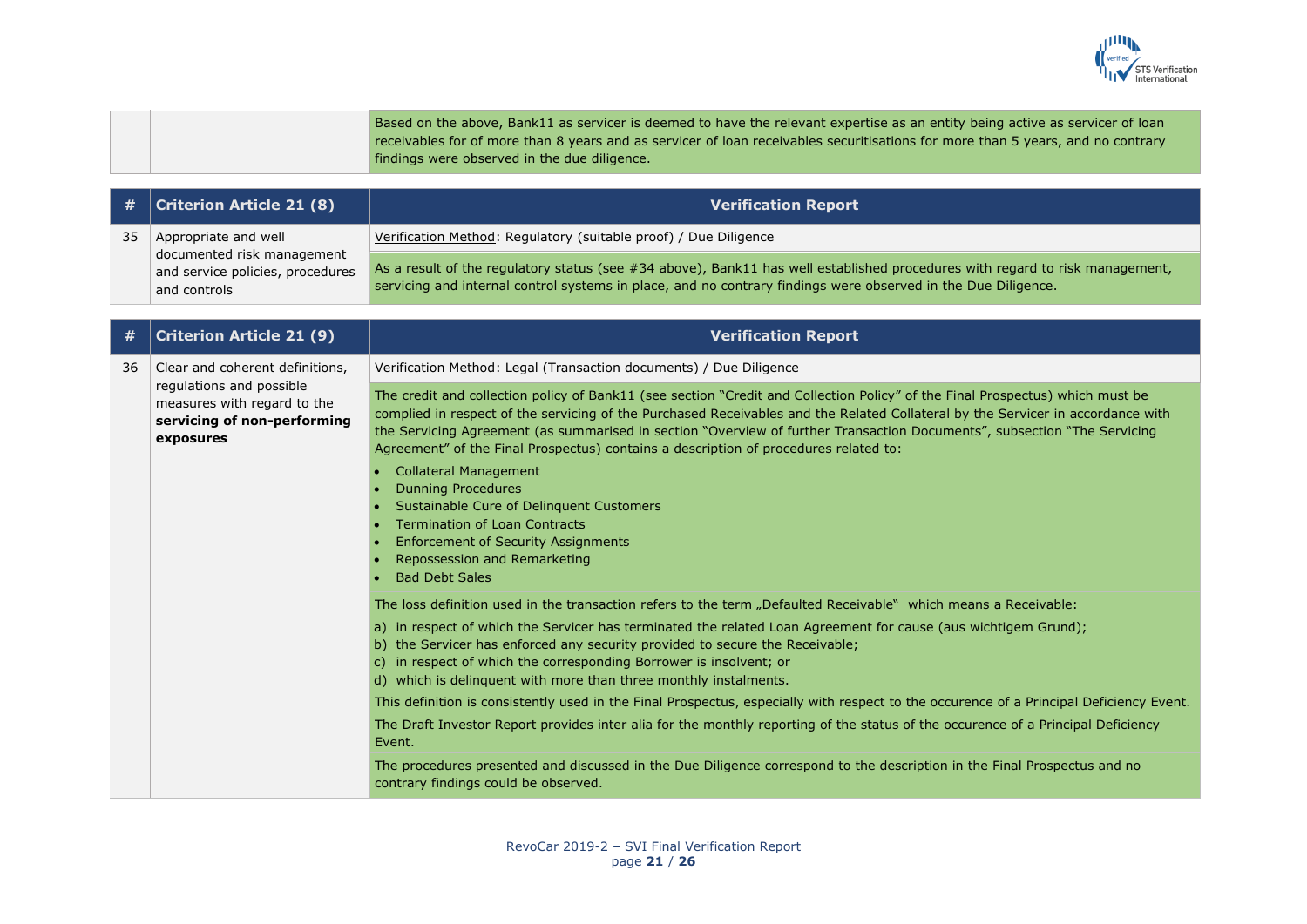

|  | Based on the above, Bank11 as servicer is deemed to have the relevant expertise as an entity being active as servicer of loan   |
|--|---------------------------------------------------------------------------------------------------------------------------------|
|  | receivables for of more than 8 years and as servicer of loan receivables securitisations for more than 5 years, and no contrary |
|  | findings were observed in the due diligence.                                                                                    |

|    | $\#$   Criterion Article 21 (8)                                                | <b>Verification Report</b>                                                                                                                                                                                                                    |
|----|--------------------------------------------------------------------------------|-----------------------------------------------------------------------------------------------------------------------------------------------------------------------------------------------------------------------------------------------|
| 35 | Appropriate and well                                                           | Verification Method: Regulatory (suitable proof) / Due Diligence                                                                                                                                                                              |
|    | documented risk management<br>and service policies, procedures<br>and controls | As a result of the regulatory status (see #34 above), Bank11 has well established procedures with regard to risk management,<br>servicing and internal control systems in place, and no contrary findings were observed in the Due Diligence. |

| #  | <b>Criterion Article 21 (9)</b>                                                                                                        | <b>Verification Report</b>                                                                                                                                                                                                                                                                                                                                                                                                                                                           |
|----|----------------------------------------------------------------------------------------------------------------------------------------|--------------------------------------------------------------------------------------------------------------------------------------------------------------------------------------------------------------------------------------------------------------------------------------------------------------------------------------------------------------------------------------------------------------------------------------------------------------------------------------|
| 36 | Clear and coherent definitions,<br>regulations and possible<br>measures with regard to the<br>servicing of non-performing<br>exposures | Verification Method: Legal (Transaction documents) / Due Diligence                                                                                                                                                                                                                                                                                                                                                                                                                   |
|    |                                                                                                                                        | The credit and collection policy of Bank11 (see section "Credit and Collection Policy" of the Final Prospectus) which must be<br>complied in respect of the servicing of the Purchased Receivables and the Related Collateral by the Servicer in accordance with<br>the Servicing Agreement (as summarised in section "Overview of further Transaction Documents", subsection "The Servicing<br>Agreement" of the Final Prospectus) contains a description of procedures related to: |
|    |                                                                                                                                        | <b>Collateral Management</b><br><b>Dunning Procedures</b><br>Sustainable Cure of Delinquent Customers<br><b>Termination of Loan Contracts</b><br><b>Enforcement of Security Assignments</b><br>Repossession and Remarketing<br><b>Bad Debt Sales</b>                                                                                                                                                                                                                                 |
|    |                                                                                                                                        | The loss definition used in the transaction refers to the term "Defaulted Receivable" which means a Receivable:                                                                                                                                                                                                                                                                                                                                                                      |
|    |                                                                                                                                        | a) in respect of which the Servicer has terminated the related Loan Agreement for cause (aus wichtigem Grund);<br>b) the Servicer has enforced any security provided to secure the Receivable;<br>c) in respect of which the corresponding Borrower is insolvent; or<br>d) which is delinguent with more than three monthly instalments.                                                                                                                                             |
|    |                                                                                                                                        | This definition is consistently used in the Final Prospectus, especially with respect to the occurence of a Principal Deficiency Event.                                                                                                                                                                                                                                                                                                                                              |
|    |                                                                                                                                        | The Draft Investor Report provides inter alia for the monthly reporting of the status of the occurence of a Principal Deficiency<br>Event.                                                                                                                                                                                                                                                                                                                                           |
|    |                                                                                                                                        | The procedures presented and discussed in the Due Diligence correspond to the description in the Final Prospectus and no<br>contrary findings could be observed.                                                                                                                                                                                                                                                                                                                     |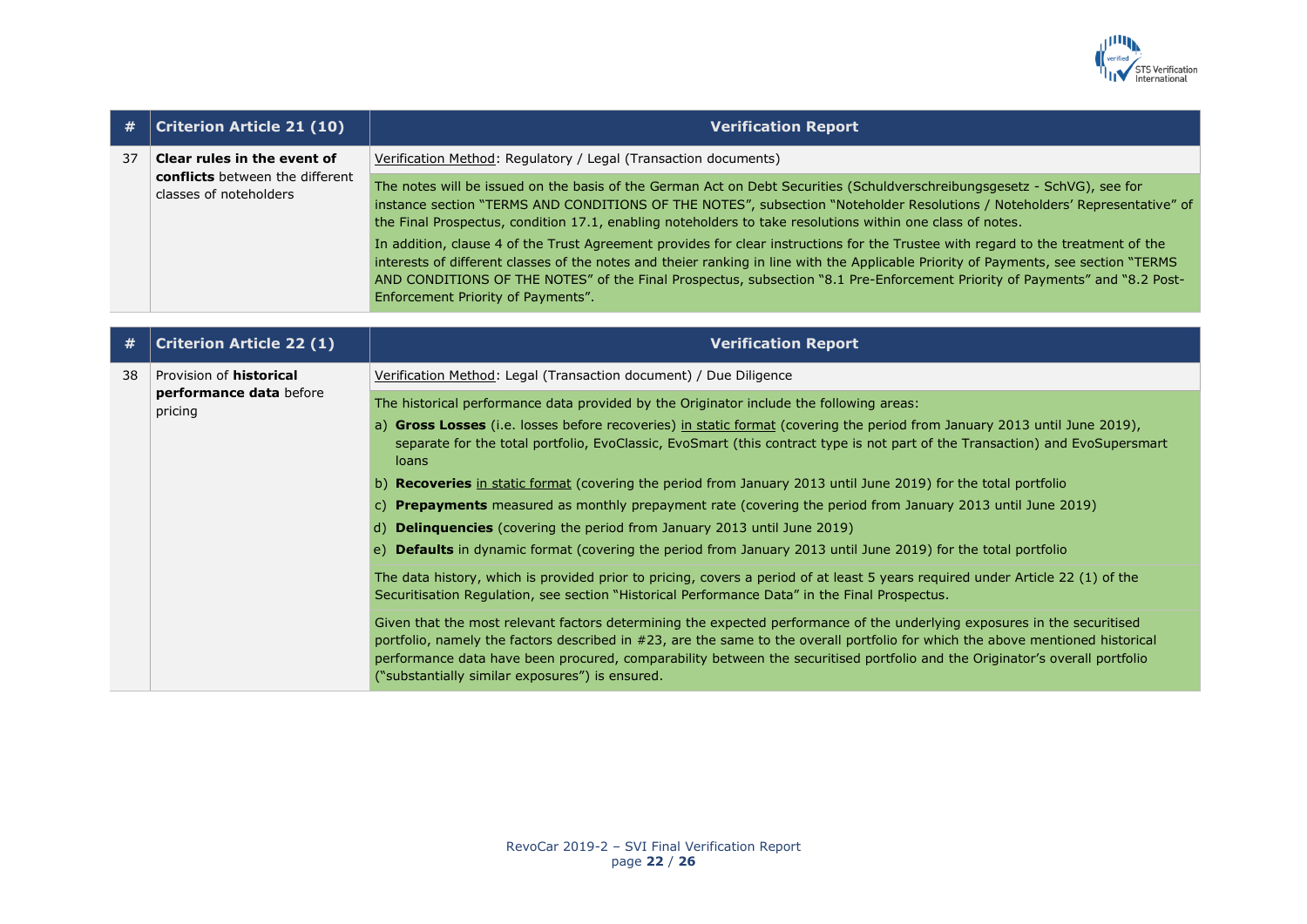

| #  | <b>Criterion Article 21 (10)</b>                                                                | <b>Verification Report</b>                                                                                                                                                                                                                                                                                                                                                                                                                  |
|----|-------------------------------------------------------------------------------------------------|---------------------------------------------------------------------------------------------------------------------------------------------------------------------------------------------------------------------------------------------------------------------------------------------------------------------------------------------------------------------------------------------------------------------------------------------|
| 37 | Clear rules in the event of<br><b>conflicts</b> between the different<br>classes of noteholders | Verification Method: Regulatory / Legal (Transaction documents)                                                                                                                                                                                                                                                                                                                                                                             |
|    |                                                                                                 | The notes will be issued on the basis of the German Act on Debt Securities (Schuldverschreibungsgesetz - SchVG), see for<br>instance section "TERMS AND CONDITIONS OF THE NOTES", subsection "Noteholder Resolutions / Noteholders' Representative" of<br>the Final Prospectus, condition 17.1, enabling noteholders to take resolutions within one class of notes.                                                                         |
|    |                                                                                                 | In addition, clause 4 of the Trust Agreement provides for clear instructions for the Trustee with regard to the treatment of the<br>interests of different classes of the notes and theier ranking in line with the Applicable Priority of Payments, see section "TERMS<br>AND CONDITIONS OF THE NOTES" of the Final Prospectus, subsection "8.1 Pre-Enforcement Priority of Payments" and "8.2 Post-<br>Enforcement Priority of Payments". |

| #  | <b>Criterion Article 22 (1)</b>                                      | <b>Verification Report</b>                                                                                                                                                                                                                                                                                                                                                                                                                   |
|----|----------------------------------------------------------------------|----------------------------------------------------------------------------------------------------------------------------------------------------------------------------------------------------------------------------------------------------------------------------------------------------------------------------------------------------------------------------------------------------------------------------------------------|
| 38 | Provision of <b>historical</b><br>performance data before<br>pricing | Verification Method: Legal (Transaction document) / Due Diligence                                                                                                                                                                                                                                                                                                                                                                            |
|    |                                                                      | The historical performance data provided by the Originator include the following areas:                                                                                                                                                                                                                                                                                                                                                      |
|    |                                                                      | a) Gross Losses (i.e. losses before recoveries) in static format (covering the period from January 2013 until June 2019),<br>separate for the total portfolio, EvoClassic, EvoSmart (this contract type is not part of the Transaction) and EvoSupersmart<br>loans                                                                                                                                                                           |
|    |                                                                      | b) Recoveries in static format (covering the period from January 2013 until June 2019) for the total portfolio                                                                                                                                                                                                                                                                                                                               |
|    |                                                                      | c) Prepayments measured as monthly prepayment rate (covering the period from January 2013 until June 2019)                                                                                                                                                                                                                                                                                                                                   |
|    |                                                                      | d) <b>Delinguencies</b> (covering the period from January 2013 until June 2019)                                                                                                                                                                                                                                                                                                                                                              |
|    |                                                                      | e) <b>Defaults</b> in dynamic format (covering the period from January 2013 until June 2019) for the total portfolio                                                                                                                                                                                                                                                                                                                         |
|    |                                                                      | The data history, which is provided prior to pricing, covers a period of at least 5 years required under Article 22 (1) of the<br>Securitisation Regulation, see section "Historical Performance Data" in the Final Prospectus.                                                                                                                                                                                                              |
|    |                                                                      | Given that the most relevant factors determining the expected performance of the underlying exposures in the securitised<br>portfolio, namely the factors described in #23, are the same to the overall portfolio for which the above mentioned historical<br>performance data have been procured, comparability between the securitised portfolio and the Originator's overall portfolio<br>("substantially similar exposures") is ensured. |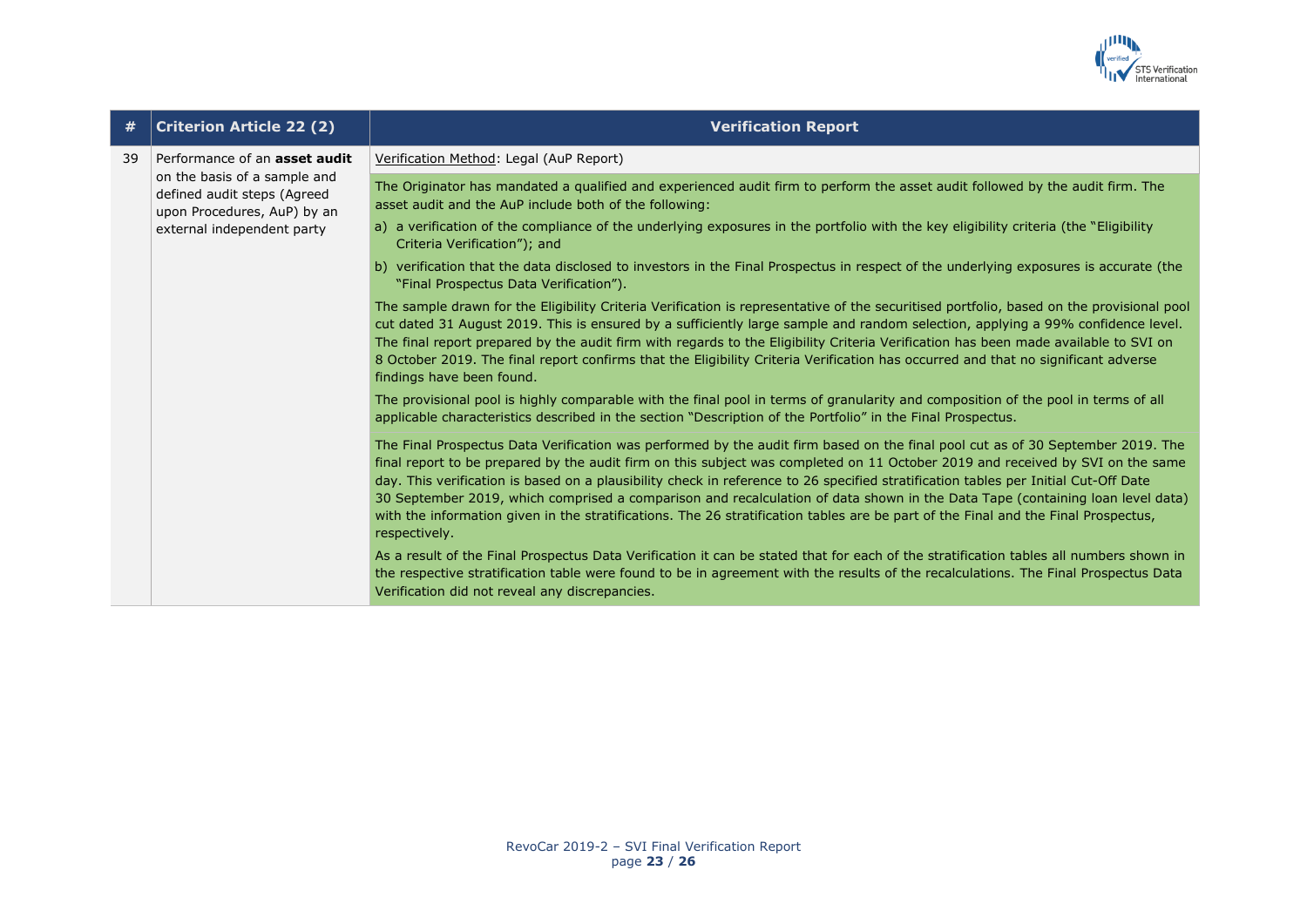

| #  | <b>Criterion Article 22 (2)</b>                                                                                                                                  | <b>Verification Report</b>                                                                                                                                                                                                                                                                                                                                                                                                                                                                                                                                                                                                                                                                       |
|----|------------------------------------------------------------------------------------------------------------------------------------------------------------------|--------------------------------------------------------------------------------------------------------------------------------------------------------------------------------------------------------------------------------------------------------------------------------------------------------------------------------------------------------------------------------------------------------------------------------------------------------------------------------------------------------------------------------------------------------------------------------------------------------------------------------------------------------------------------------------------------|
| 39 | Performance of an <b>asset audit</b><br>on the basis of a sample and<br>defined audit steps (Agreed<br>upon Procedures, AuP) by an<br>external independent party | Verification Method: Legal (AuP Report)                                                                                                                                                                                                                                                                                                                                                                                                                                                                                                                                                                                                                                                          |
|    |                                                                                                                                                                  | The Originator has mandated a qualified and experienced audit firm to perform the asset audit followed by the audit firm. The<br>asset audit and the AuP include both of the following:                                                                                                                                                                                                                                                                                                                                                                                                                                                                                                          |
|    |                                                                                                                                                                  | a) a verification of the compliance of the underlying exposures in the portfolio with the key eligibility criteria (the "Eligibility<br>Criteria Verification"); and                                                                                                                                                                                                                                                                                                                                                                                                                                                                                                                             |
|    |                                                                                                                                                                  | b) verification that the data disclosed to investors in the Final Prospectus in respect of the underlying exposures is accurate (the<br>"Final Prospectus Data Verification").                                                                                                                                                                                                                                                                                                                                                                                                                                                                                                                   |
|    |                                                                                                                                                                  | The sample drawn for the Eligibility Criteria Verification is representative of the securitised portfolio, based on the provisional pool<br>cut dated 31 August 2019. This is ensured by a sufficiently large sample and random selection, applying a 99% confidence level.<br>The final report prepared by the audit firm with regards to the Eligibility Criteria Verification has been made available to SVI on<br>8 October 2019. The final report confirms that the Eligibility Criteria Verification has occurred and that no significant adverse<br>findings have been found.                                                                                                             |
|    |                                                                                                                                                                  | The provisional pool is highly comparable with the final pool in terms of granularity and composition of the pool in terms of all<br>applicable characteristics described in the section "Description of the Portfolio" in the Final Prospectus.                                                                                                                                                                                                                                                                                                                                                                                                                                                 |
|    |                                                                                                                                                                  | The Final Prospectus Data Verification was performed by the audit firm based on the final pool cut as of 30 September 2019. The<br>final report to be prepared by the audit firm on this subject was completed on 11 October 2019 and received by SVI on the same<br>day. This verification is based on a plausibility check in reference to 26 specified stratification tables per Initial Cut-Off Date<br>30 September 2019, which comprised a comparison and recalculation of data shown in the Data Tape (containing loan level data)<br>with the information given in the stratifications. The 26 stratification tables are be part of the Final and the Final Prospectus,<br>respectively. |
|    |                                                                                                                                                                  | As a result of the Final Prospectus Data Verification it can be stated that for each of the stratification tables all numbers shown in<br>the respective stratification table were found to be in agreement with the results of the recalculations. The Final Prospectus Data<br>Verification did not reveal any discrepancies.                                                                                                                                                                                                                                                                                                                                                                  |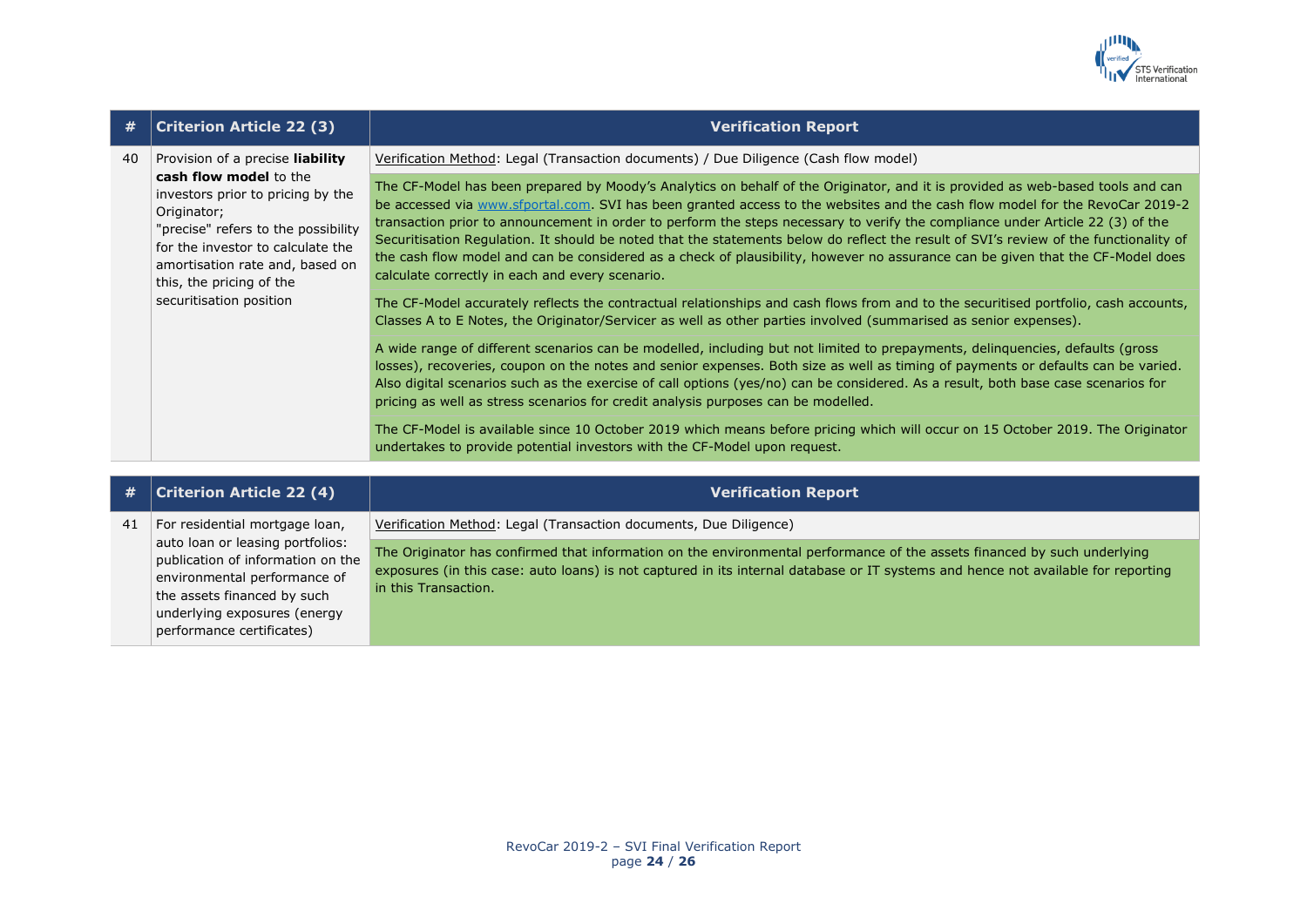

| #  | <b>Criterion Article 22 (3)</b>                                                                                                                                                                                                                                                      | <b>Verification Report</b>                                                                                                                                                                                                                                                                                                                                                                                                                                                                                                                                                                                                                                                                                                     |
|----|--------------------------------------------------------------------------------------------------------------------------------------------------------------------------------------------------------------------------------------------------------------------------------------|--------------------------------------------------------------------------------------------------------------------------------------------------------------------------------------------------------------------------------------------------------------------------------------------------------------------------------------------------------------------------------------------------------------------------------------------------------------------------------------------------------------------------------------------------------------------------------------------------------------------------------------------------------------------------------------------------------------------------------|
| 40 | Provision of a precise liability<br>cash flow model to the<br>investors prior to pricing by the<br>Originator;<br>"precise" refers to the possibility<br>for the investor to calculate the<br>amortisation rate and, based on<br>this, the pricing of the<br>securitisation position | Verification Method: Legal (Transaction documents) / Due Diligence (Cash flow model)                                                                                                                                                                                                                                                                                                                                                                                                                                                                                                                                                                                                                                           |
|    |                                                                                                                                                                                                                                                                                      | The CF-Model has been prepared by Moody's Analytics on behalf of the Originator, and it is provided as web-based tools and can<br>be accessed via www.sfportal.com. SVI has been granted access to the websites and the cash flow model for the RevoCar 2019-2<br>transaction prior to announcement in order to perform the steps necessary to verify the compliance under Article 22 (3) of the<br>Securitisation Regulation. It should be noted that the statements below do reflect the result of SVI's review of the functionality of<br>the cash flow model and can be considered as a check of plausibility, however no assurance can be given that the CF-Model does<br>calculate correctly in each and every scenario. |
|    |                                                                                                                                                                                                                                                                                      | The CF-Model accurately reflects the contractual relationships and cash flows from and to the securitised portfolio, cash accounts,<br>Classes A to E Notes, the Originator/Servicer as well as other parties involved (summarised as senior expenses).                                                                                                                                                                                                                                                                                                                                                                                                                                                                        |
|    |                                                                                                                                                                                                                                                                                      | A wide range of different scenarios can be modelled, including but not limited to prepayments, delinguencies, defaults (gross<br>losses), recoveries, coupon on the notes and senior expenses. Both size as well as timing of payments or defaults can be varied.<br>Also digital scenarios such as the exercise of call options (yes/no) can be considered. As a result, both base case scenarios for<br>pricing as well as stress scenarios for credit analysis purposes can be modelled.                                                                                                                                                                                                                                    |
|    |                                                                                                                                                                                                                                                                                      | The CF-Model is available since 10 October 2019 which means before pricing which will occur on 15 October 2019. The Originator<br>undertakes to provide potential investors with the CF-Model upon request.                                                                                                                                                                                                                                                                                                                                                                                                                                                                                                                    |

| #  | $ $ Criterion Article 22 (4) $ $                                                                                                                                                                  | <b>Verification Report</b>                                                                                                                                                                                                                                                            |
|----|---------------------------------------------------------------------------------------------------------------------------------------------------------------------------------------------------|---------------------------------------------------------------------------------------------------------------------------------------------------------------------------------------------------------------------------------------------------------------------------------------|
| 41 | For residential mortgage loan,                                                                                                                                                                    | Verification Method: Legal (Transaction documents, Due Diligence)                                                                                                                                                                                                                     |
|    | auto loan or leasing portfolios:<br>publication of information on the<br>environmental performance of<br>the assets financed by such<br>underlying exposures (energy<br>performance certificates) | The Originator has confirmed that information on the environmental performance of the assets financed by such underlying<br>exposures (in this case: auto loans) is not captured in its internal database or IT systems and hence not available for reporting<br>in this Transaction. |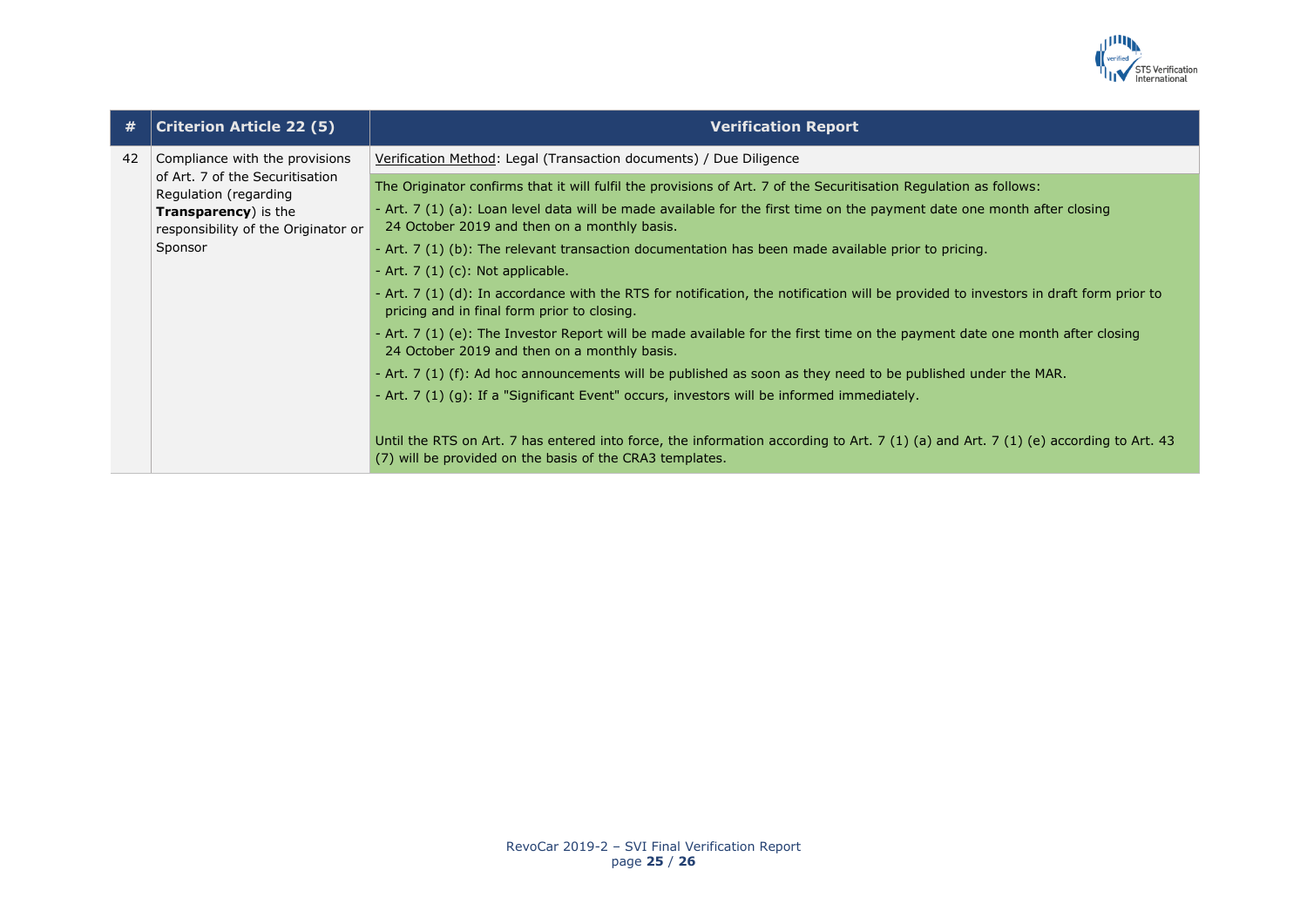

| #  | <b>Criterion Article 22 (5)</b>                                                                                                                                              | <b>Verification Report</b>                                                                                                                                                                                                                                                                                                                                                                                                               |
|----|------------------------------------------------------------------------------------------------------------------------------------------------------------------------------|------------------------------------------------------------------------------------------------------------------------------------------------------------------------------------------------------------------------------------------------------------------------------------------------------------------------------------------------------------------------------------------------------------------------------------------|
| 42 | Compliance with the provisions<br>of Art. 7 of the Securitisation<br>Regulation (regarding<br><b>Transparency</b> ) is the<br>responsibility of the Originator or<br>Sponsor | Verification Method: Legal (Transaction documents) / Due Diligence                                                                                                                                                                                                                                                                                                                                                                       |
|    |                                                                                                                                                                              | The Originator confirms that it will fulfil the provisions of Art. 7 of the Securitisation Regulation as follows:<br>- Art. 7 (1) (a): Loan level data will be made available for the first time on the payment date one month after closing<br>24 October 2019 and then on a monthly basis.<br>- Art. 7 (1) (b): The relevant transaction documentation has been made available prior to pricing.<br>- Art. $7(1)(c)$ : Not applicable. |
|    |                                                                                                                                                                              | - Art. 7 (1) (d): In accordance with the RTS for notification, the notification will be provided to investors in draft form prior to<br>pricing and in final form prior to closing.                                                                                                                                                                                                                                                      |
|    |                                                                                                                                                                              | - Art. 7 (1) (e): The Investor Report will be made available for the first time on the payment date one month after closing<br>24 October 2019 and then on a monthly basis.                                                                                                                                                                                                                                                              |
|    |                                                                                                                                                                              | - Art. 7 (1) (f): Ad hoc announcements will be published as soon as they need to be published under the MAR.                                                                                                                                                                                                                                                                                                                             |
|    |                                                                                                                                                                              | - Art. 7 (1) (g): If a "Significant Event" occurs, investors will be informed immediately.                                                                                                                                                                                                                                                                                                                                               |
|    |                                                                                                                                                                              | Until the RTS on Art. 7 has entered into force, the information according to Art. 7 (1) (a) and Art. 7 (1) (e) according to Art. 43<br>(7) will be provided on the basis of the CRA3 templates.                                                                                                                                                                                                                                          |